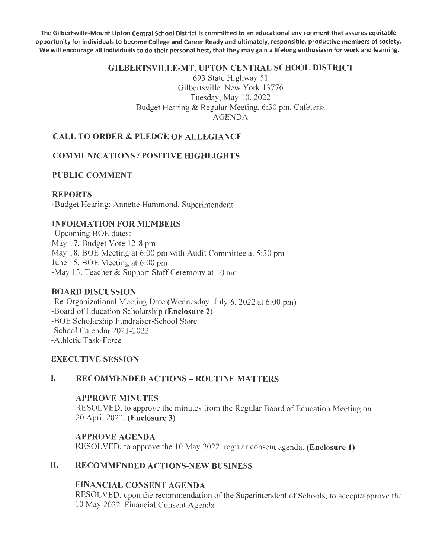The Gilbertsville-Mount Upton Central School District is committed to an educational environment that assures equitable opportunity for individuals to become College and Career Ready and ultimately, responsible, productive members of society. We will encourage all individuals to do their personal best, that they may gain a lifelong enthusiasm for work and learning.

#### GILBERTSVILLE-MT. UPTON CENTRAL SCHOOL DISTRICT

693 State Highway 51 Gilbertsville, New York 13776 Tuesday, May 10, 2022 Budget Hearing & Regular Meeting, 6:30 pm, Cafeteria AGENDA

## CALL TO ORDER & PLEDGE OF ALLEGIANCE

## COMMUNICATIONS / POSITIVE HIGHLIGHTS

### PUBLIC COMMENT

#### REPORTS

-Budget Hearing: Annette Hammond, Superintendent

#### INFORMATION FOR MEMBERS

-Upcoming BOE dates: May 17, Budget Vote 12-8 pm May 18, BOE Meeting at 6:00 pm with Audit Committee at 5:30 pm June 15, BOE Meeting at 6:00 pm -May 13, Teacher & Support Staff Ceremony at 10 am

#### BOARD DISCUSSION

-Re-Organizational Meeting Date (Wednesday, July 6, 2022 at 6:00 pm) -Board of Education Scholarship (Enclosure 2) -BOE Scholarship Fundraiser-School Store -School Calendar 2021-2022 -Athletic Task-Force

#### EXECUTIVE SESSION

#### I. RECOMMENDED ACTIONS - ROUTINE MATTERS

#### APPROVE MINUTES

RESOLVED, to approve the minutes from the Regular Board of Education Meeting on 20 April 2022. (Enclosure 3)

#### APPROVE AGENDA

RESOLVED, to approve the 10 May 2022, regular consent agenda. (Enclosure 1)

## II. RECOMMENDED ACTIONS-NEW BUSINESS

#### FINANCIAL CONSENT AGENDA

RESOLVED, upon the recommendation of the Superintendent of Schools, to accept/approve the l 0 May 2022, Financial Consent Agenda.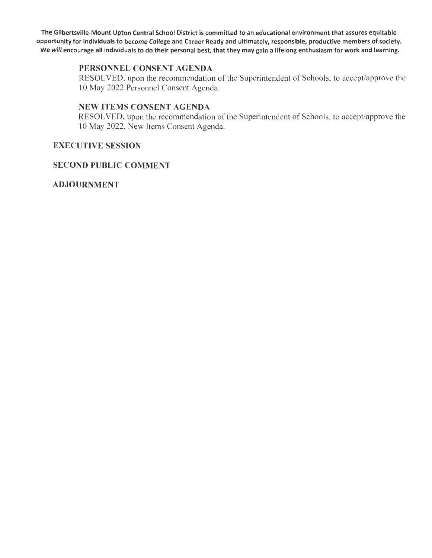The Gilbertsville-Mount Upton Central School District is committed to an educational environment that assures equitable opportunity for individuals to become College and Career Ready and ultimately, responsible, productive members of society. We will encourage all individuals to do their personal best, that they may gain a lifelong enthusiasm for work and learning.

#### PERSONNEL CONSENT AGENDA

RESOLVED, upon the recommendation of the Superintendent of Schools, to accept/approve the 10 May 2022 Personnel Consent Agenda.

#### NEW ITEMS CONSENT AGENDA

RESOLVED, upon the recommendation of the Superintendent of Schools, to accept/approve the 10 May 2022, New Items Consent Agenda.

#### EXECUTIVE SESSION

#### SECOND PUBLIC COMMENT

ADJOURNMENT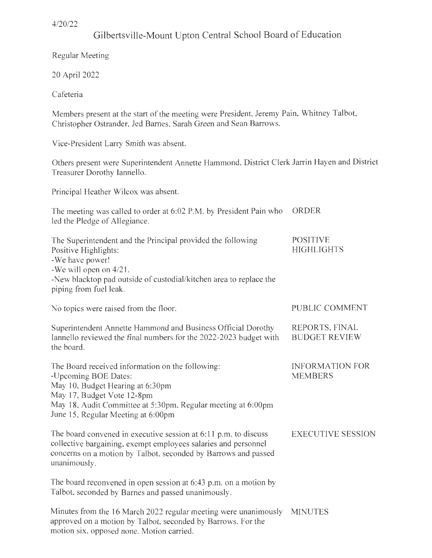## Gilbertsville-Mount Upton Central School Board of Education

Regular Meeting

20 April 2022

Cafeteria

Members present at the start of the meeting were President, Jeremy Pain, Whitney Talbot, Christopher Ostrander, Jed Barnes, Sarah Green and Sean Barrows.

Vice-President Larry Smith was absent.

Others present were Superintendent Annette Hammond, District Clerk Jarrin Hayen and District Treasurer Dorothy Iannello.

Principal Heather Wilcox was absent.

| The meeting was called to order at 6:02 P.M. by President Pain who<br>led the Pledge of Allegiance.                                                                                                                                              | ORDER                                    |
|--------------------------------------------------------------------------------------------------------------------------------------------------------------------------------------------------------------------------------------------------|------------------------------------------|
| The Superintendent and the Principal provided the following<br>Positive Highlights:<br>-We have power!<br>-We will open on 4/21.<br>-New blacktop pad outside of custodial/kitchen area to replace the<br>piping from fuel leak.                 | <b>POSITIVE</b><br><b>HIGHLIGHTS</b>     |
| No topics were raised from the floor.                                                                                                                                                                                                            | PUBLIC COMMENT                           |
| Superintendent Annette Hammond and Business Official Dorothy<br>Iannello reviewed the final numbers for the 2022-2023 budget with<br>the board.                                                                                                  | REPORTS, FINAL<br><b>BUDGET REVIEW</b>   |
| The Board received information on the following:<br>-Upcoming BOE Dates:<br>May 10, Budget Hearing at 6:30pm<br>May 17, Budget Vote 12-8pm<br>May 18, Audit Committee at 5:30pm, Regular meeting at 6:00pm<br>June 15, Regular Meeting at 6:00pm | <b>INFORMATION FOR</b><br><b>MEMBERS</b> |
| The board convened in executive session at 6:11 p.m. to discuss<br>collective bargaining, exempt employees salaries and personnel<br>concerns on a motion by Talbot, seconded by Barrows and passed<br>unanimously.                              | <b>EXECUTIVE SESSION</b>                 |
| The board reconvened in open session at $6:43$ p.m. on a motion by<br>Talbot, seconded by Barnes and passed unanimously.                                                                                                                         |                                          |
| Minutes from the 16 March 2022 regular meeting were unanimously MINUTES<br>approved on a motion by Talbot, seconded by Barrows. For the<br>motion six, opposed none. Motion carried.                                                             |                                          |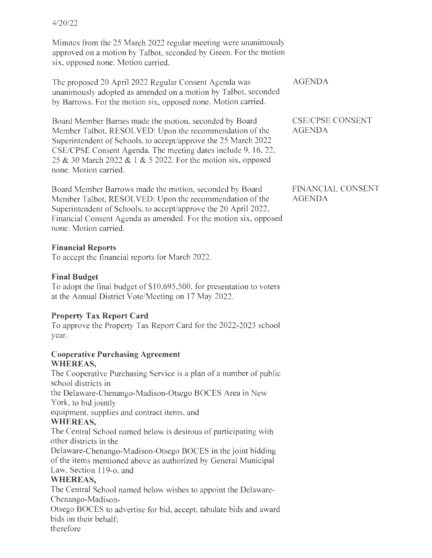Minutes from the 25 March 2022 regular meeting were unanimously approved on a motion by Talbot, seconded by Green. For the motion six, opposed none. Motion carried.

The proposed 20 April 2022 Regular Consent Agenda was unanimously adopted as amended on a motion by Talbot, seconded by Barrows. For the motion six, opposed none. Motion carried.

Board Member Barnes made the motion, seconded by Board Member Talbot, RESOLVED: Upon the recommendation of the Superintendent of Schools, to accept/approve the 25 March 2022 CSE/CPSE Consent Agenda. The meeting dates include 9, 16, 22, 25 & 30 March 2022 & 1 & 5 2022. For the motion six, opposed none. Motion carried.

Board Member Barrows made the motion, seconded by Board Member Talbot, RESOLVED: Upon the recommendation of the Superintendent of Schools, to accept/approve the 20 April 2022, Financial Consent Agenda as amended. For the motion six, opposed none. Motion carried.

### **Financial Reports**

To accept the financial reports for March 2022.

## **Final Budget**

To adopt the final budget of \$10,695,500, for presentation to voters at the Annual District Vote/Meeting on 17 May 2022.

## **Property Tax Report Card**

To approve the Property Tax Report Card for the 2022-2023 school year.

#### **Cooperative Purchasing Agreement WHEREAS,**

The Cooperative Purchasing Service is a plan of a number of public school districts in

the Delaware-Chenango-Madison-Otsego BOCES Area in New York, to bid jointly

equipment, supplies and contract items, and

## **WHEREAS,**

The Central School named below is desirous of participating with other districts in the

Delaware-Chenango-Madison-Otsego BOCES in the joint bidding of the items mentioned above as authorized by General Municipal Law, Section 119-o, and

## **WHEREAS,**

The Central School named below wishes to appoint the Delaware-Chenango-Madison-

Otsego BOCES to advertise for bid, accept, tabulate bids and award bids on their behalf;

therefore

CSE/CPSE CONSENT AGENDA

FINANCIAL CONSENT AGENDA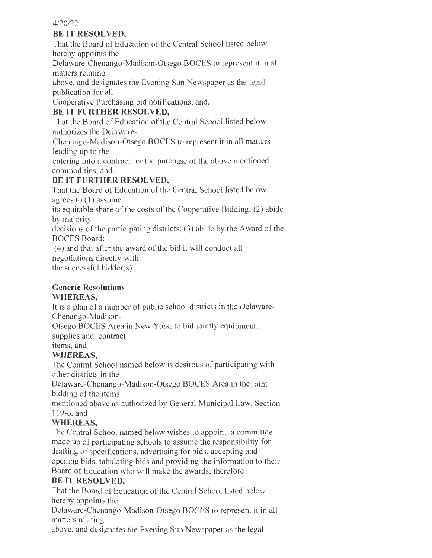## **BE IT RESOLVED,**

That the Board of Education of the Central School listed below hereby appoints the

Delaware-Chenango-Madison-Otsego BOCES to represent it in all matters relating

above, and designates the Evening Sun Newspaper as the legal publication for all

Cooperative Purchasing bid notifications, and,

## **BE IT FURTHER RESOLVED,**

That the Board of Education of the Central School listed below authorizes the Delaware-

Chenango-Madison-Otsego BOCES to represent it in all matters leading up to the

entering into a contract for the purchase of the above mentioned commodities, and,

## **BE IT FURTHER RESOLVED,**

That the Board of Education of the Central School listed below agrees to ( 1) assume

its equitable share of the costs of the Cooperative Bidding; (2) abide by majority

decisions of the participating districts; (3) abide by the Award of the BOCES Board;

(4) and that after the award of the bid it will conduct all negotiations directly with the successful bidder(s).

**Generic Resolutions** 

## **WHEREAS,**

It is a plan of a number of public school districts in the Delaware-Chenango-Madison-

Otsego BOCES Area in New York, to bid jointly equipment,

supplies and contract

items, and

## **WHEREAS,**

The Central School named below is desirous of participating with other districts in the

Delaware-Chenango-Madison-Otsego BOCES Area in the joint bidding of the items

mentioned above as authorized by General Municipal Law, Section 119-o, and

## **WHEREAS,**

The Central School named below wishes to appoint a committee made up of participating schools to assume the responsibility for drafting of specifications, advertising for bids, accepting and opening bids, tabulating bids and providing the information to their Board of Education who will make the awards; therefore

## **BE IT RESOLVED,**

That the Board of Education of the Central School listed below hereby appoints the

Delaware-Chenango-Madison-Otsego BOCES to represent it in all matters relating

above, and designates the Evening Sun Newspaper as the legal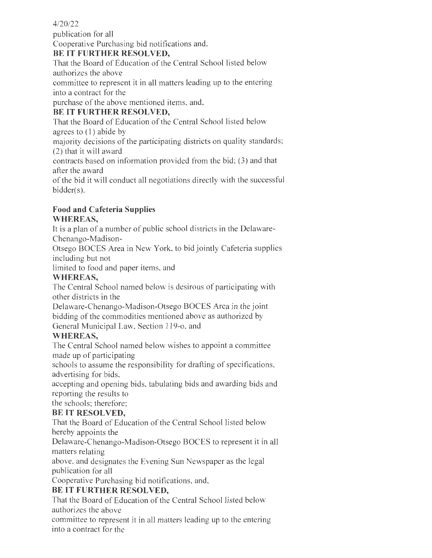publication for all Cooperative Purchasing bid notifications and,

## **BE IT FURTHER RESOLVED,**

That the Board of Education of the Central School listed below authorizes the above

committee to represent it in all matters leading up to the entering into a contract for the

purchase of the above mentioned items, and,

## **BE IT FURTHER RESOLVED,**

That the Board of Education of the Central School listed below agrees to (I) abide by

majority decisions of the participating districts on quality standards; (2) that it will award

contracts based on information provided from the bid; (3) and that after the award

of the bid it will conduct all negotiations directly with the successful bidder(s).

#### **Food and Cafeteria Supplies WHEREAS,**

It is a plan of a number of public school districts in the Delaware-

Chenango-Madison-

Otsego BOCES Area in New York, to bid jointly Cafeteria supplies including but not

limited to food and paper items, and

## **WHEREAS,**

The Central School named below is desirous of participating with other districts in the

Delaware-Chenango-Madison-Otsego BOCES Area in the joint bidding of the commodities mentioned above as authorized by General Municipal Law, Section 119-o, and

## **WHEREAS,**

The Central School named below wishes to appoint a committee made up of participating

schools to assume the responsibility for drafting of specifications, advertising for bids,

accepting and opening bids, tabulating bids and awarding bids and reporting the results to

the schools; therefore;

## **BE IT RESOLVED,**

That the Board of Education of the Central School listed below hereby appoints the

Delaware-Chenango-Madison-Otsego BOCES to represent it in all matters relating

above, and designates the Evening Sun Newspaper as the legal publication for all

Cooperative Purchasing bid notifications, and,

## **BE IT FURTHER RESOLVED,**

That the Board of Education of the Central School listed below authorizes the above

committee to represent it in all matters leading up to the entering into a contract for the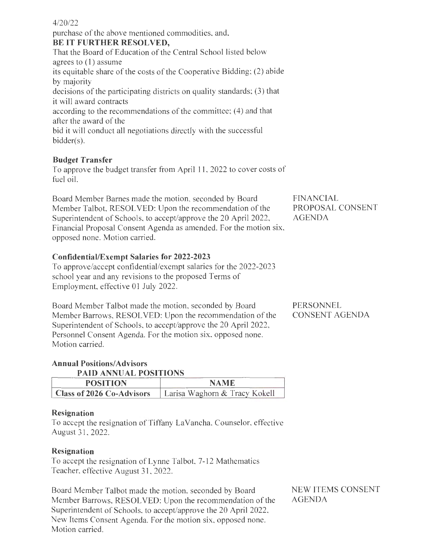purchase of the above mentioned commodities, and, **BE IT FURTHER RESOLVED,**  That the Board of Education of the Central School listed below agrees to  $(1)$  assume its equitable share of the costs of the Cooperative Bidding; (2) abide by majority decisions of the participating districts on quality standards; (3) that it will award contracts according to the recommendations of the committee; (4) and that after the award of the bid it will conduct all negotiations directly with the successful

## **Budget Transfer**

bidder(s).

To approve the budget transfer from April **<sup>11</sup> ,** 2022 to cover costs of fuel oil.

Board Member Barnes made the motion, seconded by Board Member Talbot, RESOLVED: Upon the recommendation of the Superintendent of Schools, to accept/approve the 20 April 2022, Financial Proposal Consent Agenda as amended. For the motion six, opposed none. Motion carried.

FINANCIAL PROPOSAL CONSENT AGENDA

#### **Confidential/Exempt Salaries for 2022-2023**

To approve/accept confidential/exempt salaries for the 2022-2023 school year and any revisions to the proposed Terms of Employment, effective 01 July 2022.

Board Member Talbot made the motion, seconded by Board Member Barrows, RESOLVED: Upon the recommendation of the Superintendent of Schools, to accept/approve the 20 April 2022, Personnel Consent Agenda. For the motion six, opposed none. Motion carried.

PERSONNEL CONSENT AGENDA

#### **Annual Positions/ Advisors PAID ANNUAL POSITIONS**

| <b>POSITION</b>                  | NAME                          |
|----------------------------------|-------------------------------|
| <b>Class of 2026 Co-Advisors</b> | Larisa Waghorn & Tracy Kokell |

#### **Resignation**

To accept the resignation of Tiffany La Vancha, Counselor, effective August 31, 2022.

#### **Resignation**

To accept the resignation of Lynne Talbot, 7-12 Mathematics Teacher, effective August 31, 2022.

Board Member Talbot made the motion, seconded by Board Member Barrows, RESOLVED: Upon the recommendation of the Superintendent of Schools, to accept/approve the 20 April 2022, New Items Consent Agenda. For the motion six, opposed none. Motion carried.

NEW ITEMS CONSENT AGENDA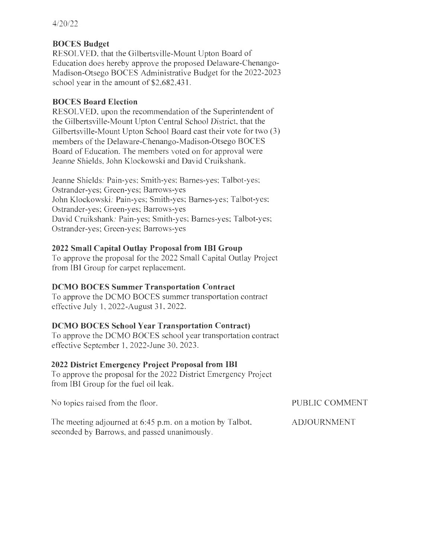## **BOCES Budget**

RESOLVED, that the Gilbertsville-Mount Upton Board of Education does hereby approve the proposed Delaware-Chenango-Madison-Otsego BOCES Administrative Budget for the 2022-2023 school year in the amount of \$2,682,431.

## **BOCES Board Election**

RESOLVED, upon the recommendation of the Superintendent of the Gilbertsville-Mount Upton Central School District, that the Gilbertsville-Mount Upton School Board cast their vote for two (3) members of the Delaware-Chenango-Madison-Otsego BOCES Board of Education. The members voted on for approval were Jeanne Shields, John Klockowski and David Cruikshank.

Jeanne Shields: Pain-yes; Smith-yes; Barnes-yes; Talbot-yes; Ostrander-yes; Green-yes; Barrows-yes John Klockowski: Pain-yes; Smith-yes; Barnes-yes; Talbot-yes; Ostrander-yes; Green-yes; Barrows-yes David Cruikshank: Pain-yes; Smith-yes; Barnes-yes; Talbot-yes; Ostrander-yes; Green-yes; Barrows-yes

## **2022 Small Capital Outlay Proposal from IBI Group**

To approve the proposal for the 2022 Small Capital Outlay Project from IBI Group for carpet replacement.

## **DCMO BOCES Summer Transportation Contract**

To approve the DCMO BOCES summer transportation contract effective July 1, 2022-August 31 , 2022.

## **DCMO BOCES School Year Transportation Contract)**

To approve the DCMO BOCES school year transportation contract effective September 1, 2022-June 30, 2023.

## **2022 District Emergency Project Proposal from IBI**

To approve the proposal for the 2022 District Emergency Project from IBI Group for the fuel oil leak.

No topics raised from the floor.

PUBLIC COMMENT

The meeting adjourned at 6:45 p.m. on a motion by Talbot, seconded by Barrows, and passed unanimously. ADJOURNMENT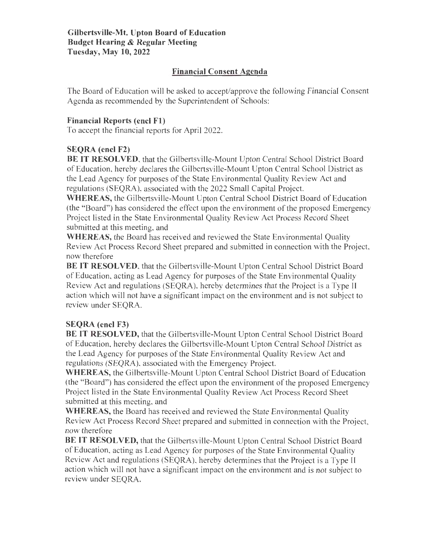### **Financial Consent Agenda**

The Board of Education will be asked to accept/approve the following Financial Consent Agenda as recommended by the Superintendent of Schools:

### **Financial Reports (encl Fl)**

To accept the financial reports for April 2022.

## **SEQRA (encl F2)**

**BE IT RESOLVED,** that the Gilbertsville-Mount Upton Central School District Board of Education, hereby declares the Gilbertsville-Mount Upton Central School District as the Lead Agency for purposes of the State Environmental Quality Review Act and regulations (SEQRA), associated with the 2022 Small Capital Project.

**WHEREAS,** the Gilbertsville-Mount Upton Central School District Board of Education (the "Board") has considered the effect upon the environment of the proposed Emergency Project listed in the State Environmental Quality Review Act Process Record Sheet submitted at this meeting, and

**WHEREAS,** the Board has received and reviewed the State Environmental Quality Review Act Process Record Sheet prepared and submitted in connection with the Project, now therefore

**BE IT RESOLVED,** that the Gilbertsville-Mount Upton Central School District Board of Education, acting as Lead Agency for purposes of the State Environmental Quality Review Act and regulations (SEQRA), hereby determines that the Project is a Type II action which will not have a significant impact on the environment and is not subject to review under SEQRA.

## **SEQRA (encl F3)**

**BE IT RESOLVED,** that the Gilbertsville-Mount Upton Central School District Board of Education, hereby declares the Gilbertsville-Mount Upton Central School District as the Lead Agency for purposes of the State Environmental Quality Review Act and regulations (SEQRA), associated with the Emergency Project.

**WHEREAS,** the Gilbertsville-Mount Upton Central School District Board of Education (the "Board") has considered the effect upon the environment of the proposed Emergency Project listed in the State Environmental Quality Review Act Process Record Sheet submitted at this meeting, and

**WHEREAS,** the Board has received and reviewed the State Environmental Quality Review Act Process Record Sheet prepared and submitted in connection with the Project, now therefore

**BE IT RESOLVED,** that the Gilbertsville-Mount Upton Central School District Board of Education, acting as Lead Agency for purposes of the State Environmental Quality Review Act and regulations (SEQRA), hereby determines that the Project is a Type II action which will not have a significant impact on the environment and is not subject to review under SEQRA.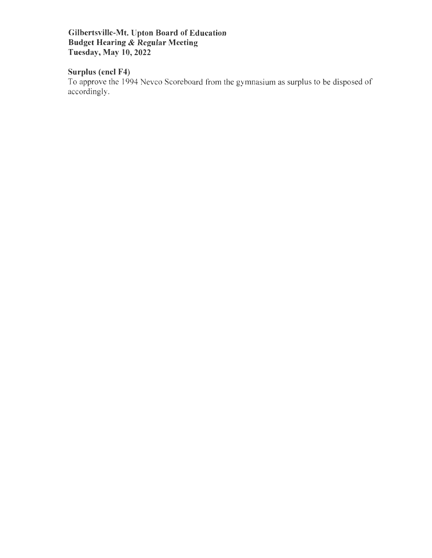Gilbertsville-Mt. Upton Board of Education Budget Hearing & Regular Meeting Tuesday, May 10, 2022

## Surplus (encl F4)

To approve the 1994 Nevco Scoreboard from the gymnasium as surplus to be disposed of accordingly.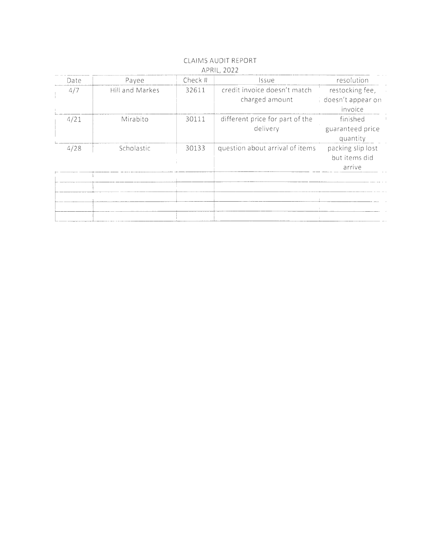| credit invoice doesn't match<br>Hill and Markes<br>4/7<br>32611<br>charged amount<br>invoice<br>different price for part of the<br>4/21<br>30111<br>Mirabito<br>finished<br>delivery<br>quantity<br>question about arrival of items<br>4/28<br>30133<br>Scholastic | Date | Payee | Check # | <i>ssue</i> | resolution                                   |
|--------------------------------------------------------------------------------------------------------------------------------------------------------------------------------------------------------------------------------------------------------------------|------|-------|---------|-------------|----------------------------------------------|
|                                                                                                                                                                                                                                                                    |      |       |         |             | restocking fee,<br>i doesn't appear on       |
|                                                                                                                                                                                                                                                                    |      |       |         |             | guaranteed price                             |
|                                                                                                                                                                                                                                                                    |      |       |         |             | packing slip lost<br>but items did<br>arrive |

 $\sim 10^7$ 

 $\overline{\phantom{a}}$ 

j

#### CLAIMS AUDIT REPORT APRIL, 2022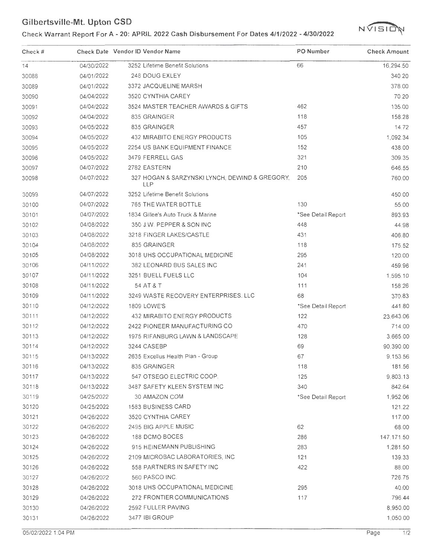# GIIDETISVIIIE-NII. UPION CSD<br>Check Warrant Report For A - 20: APRIL 2022 Cash Disbursement For Dates 4/1/2022 - 4/30/2022  $\sqrt{1510}$ N



| Check # |            | Check Date Vendor ID Vendor Name                             | PO Number          | <b>Check Amount</b> |
|---------|------------|--------------------------------------------------------------|--------------------|---------------------|
| 14      | 04/30/2022 | 3252 Lifetime Benefit Solutions                              | 66                 | 16,294.50           |
| 30088   | 04/01/2022 | 248 DOUG EXLEY                                               |                    | 340.20              |
| 30089   | 04/01/2022 | 3372 JACQUELINE MARSH                                        |                    | 378.00              |
| 30090   | 04/04/2022 | 3520 CYNTHIA CAREY                                           |                    | 70.20               |
| 30091   | 04/04/2022 | 3524 MASTER TEACHER AWARDS & GIFTS                           | 462                | 135.00              |
| 30092   | 04/04/2022 | 835 GRAINGER                                                 | 118                | 158.28              |
| 30093   | 04/05/2022 | 835 GRAINGER                                                 | 457                | 14.72               |
| 30094   | 04/05/2022 | 432 MIRABITO ENERGY PRODUCTS                                 | 105                | 1,092.34            |
| 30095   | 04/05/2022 | 2254 US BANK EQUIPMENT FINANCE                               | 152                | 438.00              |
| 30096   | 04/05/2022 | 3479 FERRELL GAS                                             | 321                | 309.35              |
| 30097   | 04/07/2022 | 2782 EASTERN                                                 | 210                | 646.55              |
| 30098   | 04/07/2022 | 327 HOGAN & SARZYNSKI LYNCH, DEWIND & GREGORY,<br><b>LLP</b> | 205                | 760.00              |
| 30099   | 04/07/2022 | 3252 Lifetime Benefit Solutions                              |                    | 450.00              |
| 30100   | 04/07/2022 | 765 THE WATER BOTTLE                                         | 130                | 55.00               |
| 30101   | 04/07/2022 | 1834 Gillee's Auto Truck & Marine                            | *See Detail Report | 893.93              |
| 30102   | 04/08/2022 | 350 J.W. PEPPER & SON INC                                    | 448                | 44.98               |
| 30103   | 04/08/2022 | 3218 FINGER LAKES/CASTLE                                     | 431                | 406.80              |
| 30104   | 04/08/2022 | 835 GRAINGER                                                 | 118                | 175.52              |
| 30105   | 04/08/2022 | 3018 UHS OCCUPATIONAL MEDICINE                               | 295                | 120.00              |
| 30106   | 04/11/2022 | 382 LEONARD BUS SALES INC                                    | 241                | 459.96              |
| 30107   | 04/11/2022 | 3251 BUELL FUELS LLC                                         | 104                | 1,595.10            |
| 30108   | 04/11/2022 | 54 AT & T                                                    | 111                | 158.26              |
| 30109   | 04/11/2022 | 3249 WASTE RECOVERY ENTERPRISES. LLC                         | 68                 | 370.83              |
| 30110   | 04/12/2022 | <b>1809 LOWE'S</b>                                           | *See Detail Report | 441.80              |
| 30111   | 04/12/2022 | 432 MIRABITO ENERGY PRODUCTS                                 | 122                | 23,643.06           |
| 30112   | 04/12/2022 | 2422 PIONEER MANUFACTURING CO                                | 470                | 714.00              |
| 30113   | 04/12/2022 | 1975 RIFANBURG LAWN & LANDSCAPE                              | 128                | 3,665.00            |
| 30114   | 04/12/2022 | 3244 CASEBP                                                  | 69                 | 90,390.00           |
| 30115   | 04/13/2022 | 2635 Excellus Health Plan - Group                            | 67                 | 9,153.56            |
| 30116   | 04/13/2022 | 835 GRAINGER                                                 | 118                | 181.56              |
| 30117   | 04/13/2022 | 547 OTSEGO ELECTRIC COOP.                                    | 125                | 9,803.13            |
| 30118   | 04/13/2022 | 3487 SAFETY KLEEN SYSTEM INC                                 | 340                | 842.64              |
| 30119   | 04/25/2022 | 30 AMAZON.COM                                                | *See Detail Report | 1,952.06            |
| 30120   | 04/25/2022 | 1583 BUSINESS CARD                                           |                    | 121.22              |
| 30121   | 04/26/2022 | 3520 CYNTHIA CAREY                                           |                    | 117.00              |
| 30122   | 04/26/2022 | 2495 BIG APPLE MUSIC                                         | 62                 | 68.00               |
| 30123   | 04/26/2022 | 188 DCMO BOCES                                               | 286                | 147, 171.50         |
| 30124   | 04/26/2022 | 915 HEINEMANN PUBLISHING                                     | 283                | 1,281.50            |
| 30125   | 04/26/2022 | 2109 MICROBAC LABORATORIES, INC                              | 121                | 139.33              |
| 30126   | 04/26/2022 | 558 PARTNERS IN SAFETY INC                                   | 422                | 88.00               |
| 30127   | 04/26/2022 | 560 PASCO INC.                                               |                    | 726.75              |
| 30128   | 04/26/2022 | 3018 UHS OCCUPATIONAL MEDICINE                               | 295                | 40.00               |
| 30129   | 04/26/2022 | 272 FRONTIER COMMUNICATIONS                                  | 117                | 796.44              |
| 30130   | 04/26/2022 | 2592 FULLER PAVING                                           |                    | 8,950.00            |
| 30131   | 04/26/2022 | 3477 IBI GROUP                                               |                    | 1,050.00            |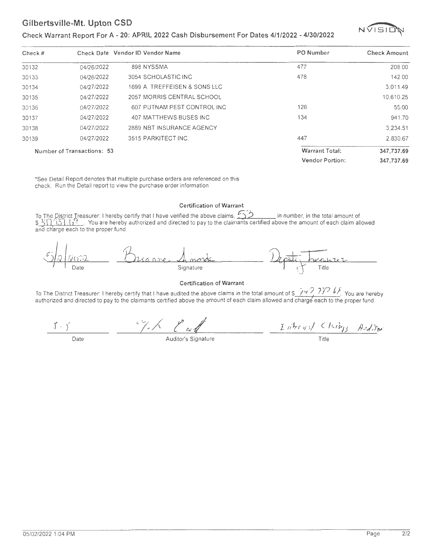#### Check Warrant Report For A - 20: APRIL 2022 Cash Disbursement For Dates 4/1/2022 - 4/30/2022



| Check # |                            | Check Date Vendor ID Vendor Name | PO Number              | <b>Check Amount</b> |
|---------|----------------------------|----------------------------------|------------------------|---------------------|
| 30132   | 04/26/2022                 | 898 NYSSMA                       | 477                    | 208.00              |
| 30133   | 04/26/2022                 | 3054 SCHOLASTIC INC              | 478                    | 142.00              |
| 30134   | 04/27/2022                 | 1699 A. TREFFEISEN & SONS LLC    |                        | 3.011.49            |
| 30135   | 04/27/2022                 | 2057 MORRIS CENTRAL SCHOOL       |                        | 10,610.25           |
| 30136   | 04/27/2022                 | 607 PUTNAM PEST CONTROL INC      | 126                    | 55.00               |
| 30137   | 04/27/2022                 | 407 MATTHEWS BUSES INC           | 134                    | 941.70              |
| 30138   | 04/27/2022                 | 2889 NBT INSURANCE AGENCY        |                        | 3.234.51            |
| 30139   | 04/27/2022                 | 3515 PARKITECT INC.              | 447                    | 2.830.67            |
|         | Number of Transactions: 53 |                                  | <b>Warrant Total:</b>  | 347,737.69          |
|         |                            |                                  | <b>Vendor Portion:</b> | 347.737.69          |

\*See Detail Report denotes that multiple purchase orders are referenced on this check. Run the Detail report to view the purchase order information

#### Certification of Warrant

To The District Treasurer: I hereby certify that I have verified the above claims , C)) in number, in the total amount of \$ 10,030 ( $\frac{3}{2}$  You are hereby authorized and directed to pay to the claimants certified above the amount of each claim allowed and charge each to the proper fund.



#### Certification of Warrant

To The District Treasurer: I hereby certify that I have audited the above claims in the total amount of\$ *J't* '7 7 )'7, *£* J You are hereby authorized and directed to pay to the claimants certified above the amount of each claim allowed and charge each to the proper fund .

*.f- f*  Date  $\frac{2\pi\sqrt{2\pi\sqrt{2}}\sqrt{2\pi\sqrt{2}}}{\sqrt{2\pi}}$  Auditor's Signature Title Title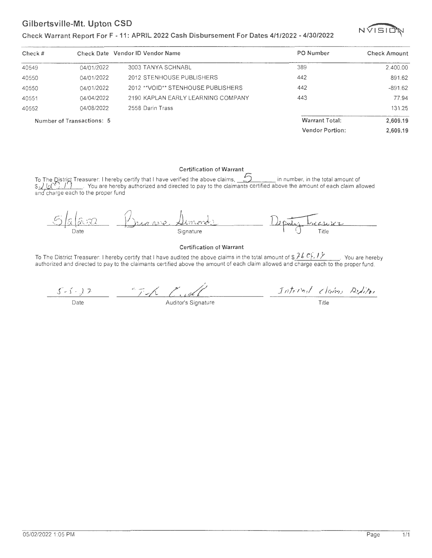#### Check Warrant Report For F - 11: APRIL 2022 Cash Disbursement For Dates 4/1/2022 - 4/30/2022



| Check # |                           | Check Date Vendor ID Vendor Name    | PO Number              | <b>Check Amount</b> |
|---------|---------------------------|-------------------------------------|------------------------|---------------------|
| 40549   | 04/01/2022                | 3003 TANYA SCHNABL                  | 389                    | 2,400.00            |
| 40550   | 04/01/2022                | 2012 STENHOUSE PUBLISHERS           | 442                    | 891.62              |
| 40550   | 04/01/2022                | 2012 ** VOID** STENHOUSE PUBLISHERS | 442                    | $-891.62$           |
| 40551   | 04/04/2022                | 2190 KAPLAN EARLY LEARNING COMPANY  | 443                    | 77.94               |
| 40552   | 04/08/2022                | 2558 Darin Trass                    |                        | 131.25              |
|         | Number of Transactions: 5 |                                     | <b>Warrant Total:</b>  | 2,609.19            |
|         |                           |                                     | <b>Vendor Portion:</b> | 2,609.19            |

Certification of Warrant<br>To The District Treasurer: I hereby certify that I have verified the above claims, \_\_\_\_\_\_\_\_\_\_\_\_\_\_ in number, in the total amount of<br>\$ يَكِيْرُ (وَلَا إِنِّ إِنَّ إِنِّ إِنَّ إِنِّ إِنَّ إِنَّ إِنَ and charge each to the proper fund



#### Certification of Warrant

To The District Treasurer: I hereby certify that I have audited the above claims in the total amount of  $\frac{\partial f}{\partial x}$ ,  $\frac{\partial f}{\partial y}$ . You are hereby authorized and directed to pay to the claimants certified above the amount

 $\frac{1}{\sqrt{2}}$  Date  $\frac{1}{\sqrt{2}}$  Auditor's Signature  $5 - 1 - 2$ Internal Claims Riditor

Title

1/1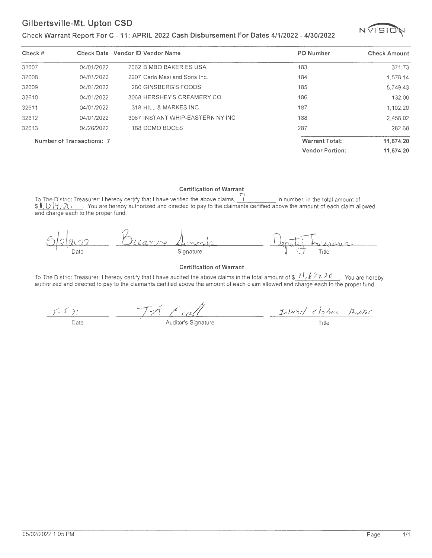#### **Check Warrant Report For C - 11: APRIL 2022 Cash Disbursement For Dates 4/1/2022 - 4/30/2022**



| Check # |                           | Check Date Vendor ID Vendor Name | PO Number              | <b>Check Amount</b> |
|---------|---------------------------|----------------------------------|------------------------|---------------------|
| 32607   | 04/01/2022                | 2062 BIMBO BAKERIES USA          | 183                    | 371.73              |
| 32608   | 04/01/2022                | 2907 Carlo Masi and Sons Inc.    | 184                    | 1.578.14            |
| 32609   | 04/01/2022                | 280 GINSBERG'S FOODS             | 185                    | 5,749.43            |
| 32610   | 04/01/2022                | 3068 HERSHEY'S CREAMERY CO       | 186                    | 132.00              |
| 32611   | 04/01/2022                | 318 HILL & MARKES INC.           | 187                    | 1.102.20            |
| 32612   | 04/01/2022                | 3067 INSTANT WHIP-EASTERN NY INC | 188                    | 2.458.02            |
| 32613   | 04/26/2022                | 188 DCMO BOCES                   | 287                    | 282.68              |
|         | Number of Transactions: 7 |                                  | <b>Warrant Total:</b>  | 11,674.20           |
|         |                           |                                  | <b>Vendor Portion:</b> | 11.674.20           |

#### **Certification of Warrant**

To The District Treasurer: I hereby certify that I have verified the above claims, **J** in number, in the total amount of  $\frac{1}{2}$  is  $\frac{1}{2}$  ...,  $\frac{1}{2}$  . You are hereby authorized and directed to pay to the claimants certified above the amount of each claim allowed and charge each to the proper fund.

Lianne Signature Date

#### **Certification of Warrant**

To The District Treasurer: I hereby certify that I have audited the above claims in the total amount of \$\_*11, {* 27, 2 c\_\_\_. You are hereby<br>authorized and directed to pay to the claimants certified above the amount of ea

 $\frac{155533}{\text{Date}}$   $\frac{175\sqrt{24M}}{\text{Auditor's Signature}}$   $\frac{37.54757}{\text{Title}}$ 

 $\frac{1}{1}$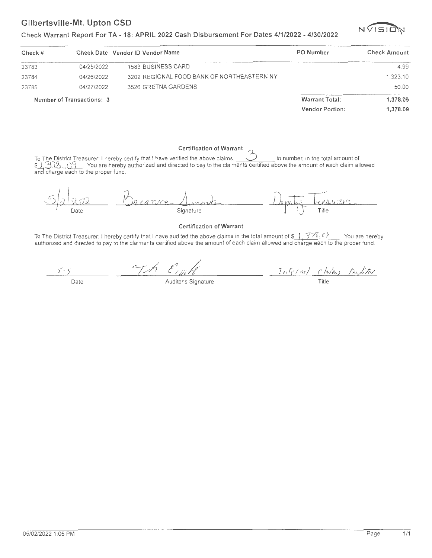#### **Check Warrant Report For TA - 18: APRIL 2022 Cash Disbursement For Dates 4/1/2022 - 4/30/2022**



| Check # |                           | Check Date Vendor ID Vendor Name           | <b>PO Number</b>       | <b>Check Amount</b> |
|---------|---------------------------|--------------------------------------------|------------------------|---------------------|
| 23783   | 04/25/2022                | 1583 BUSINESS CARD                         |                        | 4.99                |
| 23784   | 04/26/2022                | 3202 REGIONAL FOOD BANK OF NORTHEASTERN NY |                        | 1.323.10            |
| 23785   | 04/27/2022                | 3526 GRETNA GARDENS                        |                        | 50.00               |
|         | Number of Transactions: 3 |                                            | <b>Warrant Total:</b>  | 1,378.09            |
|         |                           |                                            | <b>Vendor Portion:</b> | 1.378.09            |

#### **Certification of Warrant**

To The District Treasurer: I hereby certify that I have verified the above claims, in number, in the total amount of \$ , 308 .  $\frac{1}{3}$  . You are hereby authorized and directed to pay to the claimants certified above the amount of each claim allowed and charge each to the proper fund.



#### **Certification of Warrant**

To The District Treasurer: I hereby certify that I have audited the above claims in the total amount of \$\_}, 378.68 \_\_\_ You are hereby<br>authorized and directed to pay to the claimants certified above the amount of each cla

Th Eight  $5.4$ 1*aternal ( lain) Adital* Date **Auditor's Signature** Title

05/02/2022 1:05 PM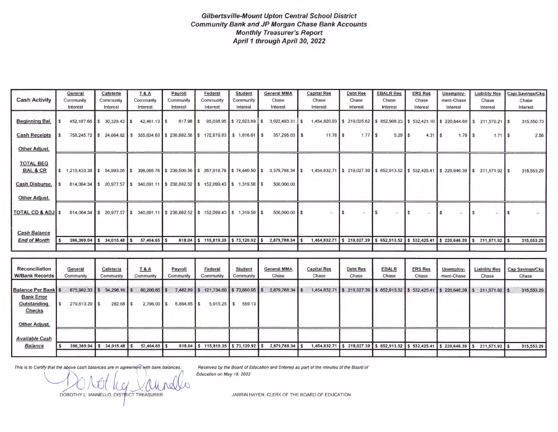#### Gilbertsville-Mount Upton Central School District Community Bank and JP Morgan Chase Bank Accounts Monthly Treasurer's Report April 1 through April 30, 2022

|                                                           | General              | Cafeteria                      | <b>T&amp;A</b>                                                                                                                                                          | Payroll              | Federal                        | <b>Student</b>              | <b>General MMA</b>              | <b>Capital Res</b>          | <b>Debt Res</b>                                                           | <b>EBALR Res</b>      | <b>ERS Res</b>          | Unemploy-                          | <b>Liability Res</b>                                                               | Capi.Savings/Ckg                |
|-----------------------------------------------------------|----------------------|--------------------------------|-------------------------------------------------------------------------------------------------------------------------------------------------------------------------|----------------------|--------------------------------|-----------------------------|---------------------------------|-----------------------------|---------------------------------------------------------------------------|-----------------------|-------------------------|------------------------------------|------------------------------------------------------------------------------------|---------------------------------|
| <b>Cash Activity</b>                                      | Community            | Community                      | Community                                                                                                                                                               | Community            | Community                      | Community                   | Chase                           | Chase                       | Chase                                                                     | Chase                 | Chase                   | ment-Chase                         | Chase                                                                              | Chase                           |
|                                                           | Interest             | Interest                       | Interest                                                                                                                                                                | Interest             | Interest                       | Interest                    | Interest                        | Interest                    | Interest                                                                  | Interest              | Interest                | Interest                           | Interest                                                                           | Interest                        |
| <b>Beginning Bal.</b>                                     | 452.187.66 \$        | $30,328.43$ \$                 | $42,461.13$ \$                                                                                                                                                          | $617.98$ S           |                                | 95,038.95 \$72,623.89       | $3,022,493.31$ \$<br>I S        |                             |                                                                           |                       |                         |                                    | $1,454,820.93$ \$219,025.62 \$652,908.23 \$532,421.10 \$220,644.60 \$211.570.21 \$ | 315,550.73                      |
| <b>Cash Receipts</b>                                      |                      |                                | 758,245.72 \$24,664.62 \$355,634.63 \$238,882.58 \$172,879.83 \$1,816.61 \$                                                                                             |                      |                                |                             | 357,295.03 \$                   |                             | $1.77$ $\textsf{s}$                                                       | $5.29$ \ \ \$         | $4.31$ S                | $1.79$ $\overline{\phantom{1}}$ \$ | $1.71$ S                                                                           | 2.56                            |
| <b>Other Adjust.</b>                                      |                      |                                |                                                                                                                                                                         |                      |                                |                             |                                 |                             |                                                                           |                       |                         |                                    |                                                                                    |                                 |
| <b>TOTAL BEG</b><br><b>BAL &amp; CR</b><br>Cash Disburse. |                      |                                | $$1,210,433.38$ $$54,993.05$ $$398,095.76$ $$239,500.56$ $$267,918.78$ $$74,440.50$ $$5$<br>814,064.34 \$20,977.57 \$340,691.11 \$238,882.52 \$152,099.43 \$1,319.58 \$ |                      |                                |                             | $3,379,788.34$ \$<br>500,000.00 |                             | $1,454,832.71$ \$ 219,027.39 \$ 652,913.52 \$ 532,425.41 \$ 220,646.39 \$ |                       |                         |                                    | 211,571.92 \$                                                                      | 315,553.29                      |
| Other Adjust.                                             |                      |                                |                                                                                                                                                                         |                      |                                |                             |                                 |                             |                                                                           |                       |                         |                                    |                                                                                    |                                 |
| <b>TOTAL CD &amp; ADJ \$</b>                              |                      |                                | 814,064.34 \$20,977.57 \$340,691.11 \$238,882.52 \$152,099.43 \$1,319.58 \$                                                                                             |                      |                                |                             | $500,000.00$ \$                 |                             |                                                                           |                       |                         |                                    |                                                                                    |                                 |
| <b>Cash Balance</b>                                       |                      |                                |                                                                                                                                                                         |                      |                                |                             |                                 |                             |                                                                           |                       |                         |                                    |                                                                                    |                                 |
| <b>End of Month</b>                                       |                      | 396,369.04   \$ 34.015.48   \$ | $57,404.65$ \$                                                                                                                                                          | 618.04               | $$115,819.35 \t$73,120.92 \t$$ |                             | 2,879,788.34 \$                 |                             | $1,454,832.71$ \$ 219,027.39 \$ 652,913.52 \$ 532,425.41 \$ 220,646.39 \$ |                       |                         |                                    | 211,571.92 \$                                                                      | 315,553.29                      |
|                                                           |                      |                                |                                                                                                                                                                         |                      |                                |                             |                                 |                             |                                                                           |                       |                         |                                    |                                                                                    |                                 |
|                                                           |                      |                                |                                                                                                                                                                         |                      |                                |                             |                                 |                             |                                                                           |                       |                         |                                    |                                                                                    |                                 |
| Reconciliation<br><b>W/Bank Records</b>                   | General<br>Community | Cafeteria<br>Community         | <b>T&amp;A</b><br>Community                                                                                                                                             | Payroll<br>Community | Federal<br>Community           | <b>Student</b><br>Community | <b>General MMA</b><br>Chase     | <b>Capital Res</b><br>Chase | <b>Debt Res</b><br>Chase                                                  | <b>EBALR</b><br>Chase | <b>ERS Res</b><br>Chase | Unemploy-<br>ment-Chase            | <b>Liability Res</b><br>Chase                                                      | <b>Cap Savings/Ckg</b><br>Chase |

| <b>WIBANK Records</b>                             | Community       | Community      | Community      | Community     | Community                          | Community | ∪nase |                 | ∪nase |  | Chase |  | Chase | ∪nase | ment-Chase                                                                | Chase           | Chase      |
|---------------------------------------------------|-----------------|----------------|----------------|---------------|------------------------------------|-----------|-------|-----------------|-------|--|-------|--|-------|-------|---------------------------------------------------------------------------|-----------------|------------|
| <b>Balance Per Bank \$</b>                        | 675,982.33 \$   | $34.298.16$ \$ | $60,200.65$ \$ | $7,482.89$ \$ | 121,734.60 \$73,680.05 \$          |           |       | 2,879,788,34 \$ |       |  |       |  |       |       | $1,454,832.71$ \$ 219,027.39 \$ 652,913.52 \$ 532,425.41 \$ 220,646.39 \$ | $211,571.92$ \$ | 315,553.29 |
| <b>Bank Error</b><br>Outstanding<br><b>Checks</b> | $279,613.29$ \$ | $282.68$ \$    | $2,796.00$ \$  | $6,864.85$ \$ | $5,915.25$ \$                      | 559.13    |       |                 |       |  |       |  |       |       |                                                                           |                 |            |
| <b>Other Adjust.</b>                              |                 |                |                |               |                                    |           |       |                 |       |  |       |  |       |       |                                                                           |                 |            |
| <b>Available Cash</b>                             |                 |                |                |               |                                    |           |       |                 |       |  |       |  |       |       |                                                                           |                 |            |
| <b>Balance</b>                                    | $396,369.04$ \$ | $34,015.48$ \$ | $57,404.65$ \$ |               | 618.04 \$115,819.35 \$73,120.92 \$ |           |       | 2,879,788.34 \$ |       |  |       |  |       |       | $1,454,832.71$ \$ 219,027.39 \$ 652,913.52 \$ 532,425.41 \$ 220,646.39 \$ | 211,571.92 \$   | 315,553.29 |

This is to Certify that the above cash balances are in agreement with bank balances. Received by the Board of Education and Entered as part of the minutes of the Board of Education on May 18, 2022

DOROTHY L. IANNELLO, DISTRICT TREASURER

JARRIN HAYEN, CLERK OF THE BOARD OF EDUCATION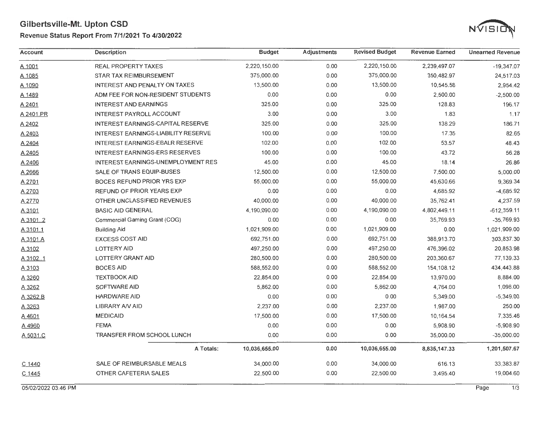### **Revenue Status Report From 7/1/2021 To 4/30/2022**



| Account   | Description                         | <b>Budget</b> | Adjustments | <b>Revised Budget</b> | <b>Revenue Earned</b> | <b>Unearned Revenue</b> |
|-----------|-------------------------------------|---------------|-------------|-----------------------|-----------------------|-------------------------|
| A 1001    | <b>REAL PROPERTY TAXES</b>          | 2,220,150.00  | 0.00        | 2,220,150.00          | 2,239,497.07          | $-19,347.07$            |
| A 1085    | STAR TAX REIMBURSEMENT              | 375,000.00    | 0.00        | 375,000.00            | 350,482.97            | 24,517.03               |
| A 1090    | INTEREST AND PENALTY ON TAXES       | 13,500.00     | 0.00        | 13,500.00             | 10,545.58             | 2,954.42                |
| A 1489    | ADM FEE FOR NON-RESIDENT STUDENTS   | 0.00          | 0.00        | 0.00                  | 2,500.00              | $-2,500.00$             |
| A 2401    | <b>INTEREST AND EARNINGS</b>        | 325.00        | 0.00        | 325.00                | 128.83                | 196.17                  |
| A 2401.PR | <b>INTEREST PAYROLL ACCOUNT</b>     | 3.00          | 0.00        | 3.00                  | 1.83                  | 1.17                    |
| A 2402    | INTEREST EARNINGS-CAPITAL RESERVE   | 325.00        | 0.00        | 325.00                | 138.29                | 186.71                  |
| A 2403    | INTEREST EARNINGS-LIABILITY RESERVE | 100.00        | 0.00        | 100.00                | 17.35                 | 82.65                   |
| A 2404    | INTEREST EARNINGS-EBALR RESERVE     | 102.00        | 0.00        | 102.00                | 53.57                 | 48.43                   |
| A 2405    | INTEREST EARNINGS-ERS RESERVES      | 100.00        | 0.00        | 100.00                | 43.72                 | 56.28                   |
| A 2406    | INTEREST EARNINGS-UNEMPLOYMENT RES  | 45.00         | 0.00        | 45.00                 | 18.14                 | 26.86                   |
| A 2666    | SALE OF TRANS EQUIP-BUSES           | 12,500.00     | 0.00        | 12,500.00             | 7,500.00              | 5,000.00                |
| A 2701    | BOCES REFUND PRIOR YRS EXP          | 55,000.00     | 0.00        | 55,000.00             | 45,630.66             | 9,369.34                |
| A 2703    | REFUND OF PRIOR YEARS EXP           | 0.00          | 0.00        | 4,685.92              | $-4,685.92$           |                         |
| A 2770    | OTHER UNCLASSIFIED REVENUES         | 40,000.00     | 0.00        | 40,000.00             | 35,762.41             | 4,237.59                |
| A 3101    | <b>BASIC AID GENERAL</b>            | 4,190,090.00  | 0.00        | 4,190,090.00          | 4,802,449.11          | $-612,359.11$           |
| A 3101.2  | Commercial Gaming Grant (COG)       | 0.00          | 0.00        | 0.00                  | 35,769.93             | $-35,769.93$            |
| A 3101.1  | <b>Building Aid</b>                 | 1.021.909.00  | 0.00        | 1,021,909.00          | 0.00                  | 1,021,909.00            |
| A 3101.A  | <b>EXCESS COST AID</b>              | 692.751.00    | 0.00        | 692,751.00            | 388,913.70            | 303,837.30              |
| A 3102    | <b>LOTTERY AID</b>                  | 497,250.00    | 0.00        | 497,250.00            | 476,396.02            | 20,853.98               |
| A 3102.1  | <b>LOTTERY GRANT AID</b>            | 280,500.00    | 0.00        | 280,500.00            | 203,360.67            | 77,139.33               |
| A 3103    | <b>BOCES AID</b>                    | 588,552.00    | 0.00        | 588,552.00            | 154, 108.12           | 434,443.88              |
| A 3260    | <b>TEXTBOOK AID</b>                 | 22,854.00     | 0.00        | 22,854.00             | 13,970.00             | 8,884.00                |
| A 3262    | <b>SOFTWARE AID</b>                 | 5,862.00      | 0.00        | 5,862.00              | 4,764.00              | 1,098.00                |
| A 3262.B  | <b>HARDWARE AID</b>                 | 0.00          | 0.00        | 0.00                  | 5,349.00              | $-5,349.00$             |
| A 3263    | <b>LIBRARY A/V AID</b>              | 2,237.00      | 0.00        | 2,237.00              | 1,987.00              | 250.00                  |
| A 4601    | <b>MEDICAID</b>                     | 17,500.00     | 0.00        | 17,500.00             | 10,164.54             | 7,335.46                |
| A 4960    | <b>FEMA</b>                         | 0.00          | 0.00        | 0.00                  | 5,908.90              | $-5,908.90$             |
| A 5031.C  | TRANSFER FROM SCHOOL LUNCH          | 0.00          | 0.00        | 0.00                  | 35,000.00             | $-35,000.00$            |
|           | A Totals:                           | 10,036,655.00 | 0.00        | 10,036,655.00         | 8,835,147.33          | 1,201,507.67            |
| $C$ 1440  | SALE OF REIMBURSABLE MEALS          | 34,000.00     | 0.00        | 34,000.00             | 616.13                | 33,383.87               |
| C 1445    | OTHER CAFETERIA SALES               | 22,500.00     | 0.00        | 22,500.00             | 3,495.40              | 19,004.60               |

05/02/2022 03:46 PM Page 1/3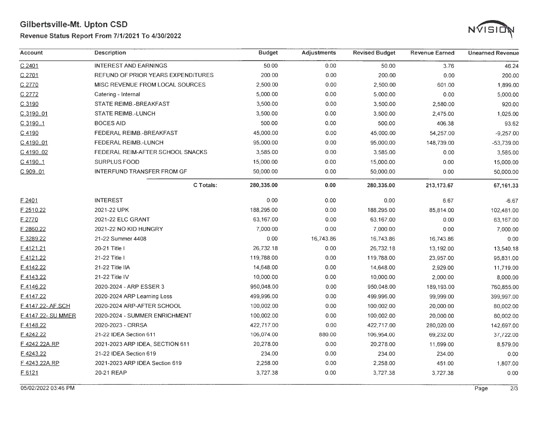#### **Revenue Status Report From 7/1/2021 To 4/30/2022**



| Account           | <b>Description</b>                 | <b>Budget</b> | <b>Adjustments</b> | <b>Revised Budget</b> | <b>Revenue Earned</b> | <b>Unearned Revenue</b> |
|-------------------|------------------------------------|---------------|--------------------|-----------------------|-----------------------|-------------------------|
| $C$ 2401          | <b>INTEREST AND EARNINGS</b>       | 50.00         | 0.00               | 50.00                 | 3.76                  | 46.24                   |
| C 2701            | REFUND OF PRIOR YEARS EXPENDITURES | 200.00        | 0.00               | 200.00                | 0.00                  | 200.00                  |
| C 2770            | MISC REVENUE FROM LOCAL SOURCES    | 2,500.00      | 0.00               | 2,500.00              | 601.00                | 1,899.00                |
| C 2772            | Catering - Internal                | 5,000.00      | 0.00               | 5,000.00              | 0.00                  | 5,000.00                |
| C 3190            | <b>STATE REIMB.-BREAKFAST</b>      | 3,500.00      | 0.00               | 3,500.00              | 2,580.00              | 920.00                  |
| C 3190.01         | <b>STATE REIMB.-LUNCH</b>          | 3,500.00      | 0.00               | 3,500.00              | 2,475.00              | 1,025.00                |
| C 3190.1          | <b>BOCES AID</b>                   | 500.00        | 0.00               | 500.00                | 406.38                | 93.62                   |
| C 4190            | FEDERAL REIMB.-BREAKFAST           | 45,000.00     | 0.00               | 45,000.00             | 54,257.00             | $-9,257.00$             |
| C 4190.01         | FEDERAL REIMB.-LUNCH               | 95,000.00     | 0.00               | 95,000.00             | 148,739.00            | $-53,739.00$            |
| C 4190.02         | FEDERAL REIM-AFTER SCHOOL SNACKS   | 3,585.00      | 0.00               | 3,585.00              | 0.00                  | 3,585.00                |
| C 41901           | <b>SURPLUS FOOD</b>                | 15,000.00     | 0.00               | 15,000.00             | 0.00                  | 15,000.00               |
| C 909.01          | INTERFUND TRANSFER FROM GF         | 50,000.00     | 0.00               | 50,000.00             | 0.00                  | 50,000.00               |
|                   | C Totals:                          | 280,335.00    | 0.00               | 280,335.00            | 213,173.67            | 67,161.33               |
| $E$ 2401          | <b>INTEREST</b>                    | 0.00          | 0.00               | 0.00                  | 6.67                  | $-6.67$                 |
| F 2510.22         | 2021-22 UPK                        | 188,295.00    | 0.00               | 188,295.00            | 85,814.00             | 102,481.00              |
| F 2770            | 2021-22 ELC GRANT                  | 63,167.00     | 0.00               | 63,167.00             | 0.00                  | 63,167.00               |
| F 2860.22         | 2021-22 NO KID HUNGRY              | 7,000.00      | 0.00               | 7,000.00              | 0.00                  | 7,000.00                |
| F 3289.22         | 21-22 Summer 4408                  | 0.00          | 16,743.86          | 16,743.86             | 16,743.86             | 0.00                    |
| F4121.21          | 20-21 Title I                      | 26,732.18     | 0.00               | 26,732.18             | 13,192.00             | 13,540.18               |
| F4121.22          | 21-22 Title I                      | 119,788.00    | 0.00               | 119,788.00            | 23,957.00             | 95,831.00               |
| F4142.22          | 21-22 Title IIA                    | 14,648.00     | 0.00               | 14,648.00             | 2,929.00              | 11,719.00               |
| F4143.22          | 21-22 Title IV                     | 10,000.00     | 0.00               | 10,000.00             | 2,000.00              | 8,000.00                |
| F4146.22          | 2020-2024 - ARP ESSER 3            | 950,048.00    | 0.00               | 950,048.00            | 189,193.00            | 760,855.00              |
| F4147.22          | 2020-2024 ARP Learning Loss        | 499,996.00    | 0.00               | 499,996.00            | 99,999.00             | 399,997.00              |
| F 4147.22-.AF.SCH | 2020-2024 ARP-AFTER SCHOOL         | 100,002.00    | 0.00               | 100,002.00            | 20,000.00             | 80,002.00               |
| F4147.22- SU MMER | 2020-2024 - SUMMER ENRICHMENT      | 100,002.00    | 0.00               | 100,002.00            | 20,000.00             | 80,002.00               |
| E.4148.22         | 2020-2023 - CRRSA                  | 422,717.00    | 0.00               | 422,717.00            | 280,020.00            | 142,697.00              |
| F4242.22          | 21-22 IDEA Section 611             | 106,074.00    | 880.00             | 106,954.00            | 69,232.00             | 37,722.00               |
| F 4242.22A.RP     | 2021-2023 ARP IDEA, SECTION 611    | 20,278.00     | 0.00               | 20,278.00             | 11,699.00             | 8,579.00                |
| F4243.22          | 21-22 IDEA Section 619             | 234.00        | 0.00               | 234.00                | 234.00                | 0.00                    |
| F 4243.22A.RP     | 2021-2023 ARP IDEA Section 619     | 2,258.00      | 0.00               | 2,258.00              | 451.00                | 1,807.00                |
| F 6121            | 20-21 REAP                         | 3,727.38      | 0.00               | 3,727.38              | 3,727.38              | 0.00                    |

05/02/2022 03:46 PM Page 2/3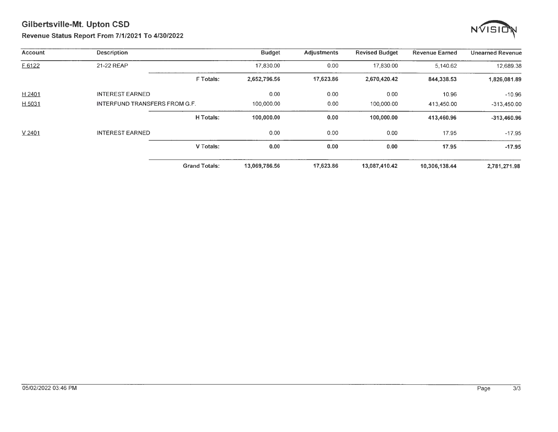

#### Revenue Status Report From 7/1/2021 To 4/30/2022

| Account | <b>Description</b>                   |                      | <b>Budget</b> | <b>Adjustments</b> | <b>Revised Budget</b> | <b>Revenue Earned</b> | <b>Unearned Revenue</b> |
|---------|--------------------------------------|----------------------|---------------|--------------------|-----------------------|-----------------------|-------------------------|
| F 6122  | 21-22 REAP                           |                      | 17,830.00     | 0.00               | 17,830.00             | 5.140.62              | 12,689.38               |
|         |                                      | <b>FTotals:</b>      | 2,652,796.56  | 17,623.86          | 2,670,420.42          | 844,338.53            | 1,826,081.89            |
| H 2401  | <b>INTEREST EARNED</b>               |                      | 0.00          | 0.00               | 0.00                  | 10.96                 | $-10.96$                |
| H 5031  | <b>INTERFUND TRANSFERS FROM G.F.</b> |                      | 100,000.00    | 0.00               | 100,000.00            | 413,450.00            | $-313,450.00$           |
|         |                                      | H Totals:            | 100,000.00    | 0.00               | 100,000.00            | 413.460.96            | $-313,460.96$           |
| V 2401  | <b>INTEREST EARNED</b>               |                      | 0.00          | 0.00               | 0.00                  | 17.95                 | $-17.95$                |
|         |                                      | V Totals:            | 0.00          | 0.00               | 0.00                  | 17.95                 | $-17.95$                |
|         |                                      | <b>Grand Totals:</b> | 13,069,786.56 | 17,623.86          | 13,087,410.42         | 10,306,138.44         | 2,781,271.98            |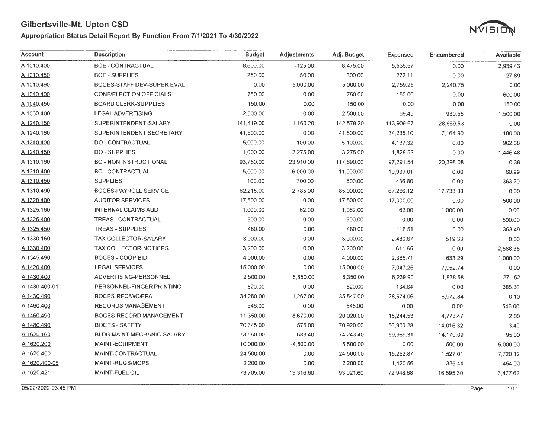#### **Appropriation Status Detail Report By Function From 7/1/2021 To 4/30/2022**



| <b>Account</b> | <b>Description</b>            | <b>Budget</b> | <b>Adjustments</b> | Adj. Budget | <b>Expensed</b> | Encumbered | Available |
|----------------|-------------------------------|---------------|--------------------|-------------|-----------------|------------|-----------|
| A 1010.400     | <b>BOE - CONTRACTUAL</b>      | 8,600.00      | $-125.00$          | 8,475.00    | 5,535.57        | 0.00       | 2,939.43  |
| A 1010.450     | <b>BOE - SUPPLIES</b>         | 250.00        | 50.00              | 300.00      | 272.11          | 0.00       | 27.89     |
| A 1010.490     | BOCES-STAFF DEV-SUPER EVAL    | 0.00          | 5,000.00           | 5,000.00    | 2,759.25        | 2,240.75   | 0.00      |
| A 1040.400     | CONF/ELECTION OFFICIALS       | 750.00        | 0.00               | 750.00      | 150.00          | 0.00       | 600.00    |
| A 1040.450     | <b>BOARD CLERK-SUPPLIES</b>   | 150.00        | 0.00               | 150.00      | 0.00            | 0.00       | 150.00    |
| A 1060.400     | <b>LEGAL ADVERTISING</b>      | 2,500.00      | 0.00               | 2,500.00    | 69.45           | 930.55     | 1,500.00  |
| A 1240.150     | SUPERINTENDENT-SALARY         | 141,419.00    | 1,160.20           | 142,579.20  | 113,909.67      | 28,669.53  | 0.00      |
| A 1240.160     | SUPERINTENDENT SECRETARY      | 41,500.00     | 0.00               | 41,500.00   | 34,235.10       | 7,164.90   | 100.00    |
| A 1240.400     | DO - CONTRACTUAL              | 5,000.00      | 100.00             | 5,100.00    | 4,137.32        | 0.00       | 962.68    |
| A 1240.450     | <b>DO - SUPPLIES</b>          | 1,000.00      | 2,275.00           | 3,275.00    | 1,828.52        | 0.00       | 1,446.48  |
| A 1310.160     | <b>BO - NON INSTRUCTIONAL</b> | 93,780.00     | 23,910.00          | 117,690.00  | 97,291.54       | 20,398.08  | 0.38      |
| A 1310.400     | <b>BO - CONTRACTUAL</b>       | 5,000.00      | 6,000.00           | 11,000.00   | 10,939.01       | 0.00       | 60.99     |
| A 1310.450     | <b>SUPPLIES</b>               | 100.00        | 700.00             | 800.00      | 436.80          | 0.00       | 363.20    |
| A 1310.490     | <b>BOCES-PAYROLL SERVICE</b>  | 82,215.00     | 2,785.00           | 85,000.00   | 67,266.12       | 17,733.88  | 0.00      |
| A 1320.400     | <b>AUDITOR SERVICES</b>       | 17,500.00     | 0.00               | 17,500.00   | 17,000.00       | 0.00       | 500.00    |
| A 1325.160     | <b>INTERNAL CLAIMS AUD</b>    | 1,000.00      | 62.00              | 1,062.00    | 62.00           | 1,000.00   | 0.00      |
| A 1325.400     | <b>TREAS - CONTRACTUAL</b>    | 500.00        | 0.00               | 500.00      | 0.00            | 0.00       | 500.00    |
| A 1325.450     | <b>TREAS - SUPPLIES</b>       | 480.00        | 0.00               | 480.00      | 116.51          | 0.00       | 363.49    |
| A 1330.160     | TAX COLLECTOR-SALARY          | 3,000.00      | 0.00               | 3,000.00    | 2,480.67        | 519.33     | 0.00      |
| A 1330.400     | <b>TAX COLLECTOR-NOTICES</b>  | 3,200.00      | 0.00               | 3,200.00    | 611.65          | 0.00       | 2,588.35  |
| A 1345.490     | BOCES - COOP BID              | 4,000.00      | 0.00               | 4,000.00    | 2,366.71        | 633.29     | 1,000.00  |
| A 1420.400     | <b>LEGAL SERVICES</b>         | 15,000.00     | 0.00               | 15,000.00   | 7,047.26        | 7,952.74   | 0.00      |
| A 1430.400     | ADVERTISING-PERSONNEL         | 2,500.00      | 5,850.00           | 8,350.00    | 6,239.90        | 1,838.58   | 271.52    |
| A 1430.400-01  | PERSONNEL-FINGER PRINTING     | 520.00        | 0.00               | 520.00      | 134.64          | 0.00       | 385.36    |
| A 1430.490     | BOCES-REC/WC/EPA              | 34,280.00     | 1,267.00           | 35,547.00   | 28,574.06       | 6,972.84   | 0.10      |
| A 1460.400     | <b>RECORDS MANAGEMENT</b>     | 546.00        | 0.00               | 546.00      | 0.00            | 0.00       | 546.00    |
| A 1460.490     | BOCES-RECORD MANAGEMENT       | 11,350.00     | 8,670.00           | 20,020.00   | 15,244.53       | 4,773.47   | 2.00      |
| A 1480.490     | <b>BOCES - SAFETY</b>         | 70,345.00     | 575.00             | 70,920.00   | 56,900.28       | 14,016.32  | 3.40      |
| A 1620.160     | BLDG MAINT MECHANIC-SALARY    | 73,560.00     | 683.40             | 74,243.40   | 59,969.31       | 14,179.09  | 95.00     |
| A 1620.200     | MAINT-EQUIPMENT               | 10,000.00     | $-4,500.00$        | 5,500.00    | 0.00            | 500.00     | 5,000.00  |
| A 1620.400     | MAINT-CONTRACTUAL             | 24,500.00     | 0.00               | 24,500.00   | 15,252.87       | 1,527.01   | 7,720.12  |
| A 1620.400-05  | MAINT-RUGS/MOPS               | 2,200.00      | 0.00               | 2,200.00    | 1,420.56        | 325.44     | 454.00    |
| A 1620.421     | MAINT-FUEL OIL                | 73,705.00     | 19,316.60          | 93,021.60   | 72,948.68       | 16,595.30  | 3,477.62  |

05/02/2022 03:45 PM Page 1 /11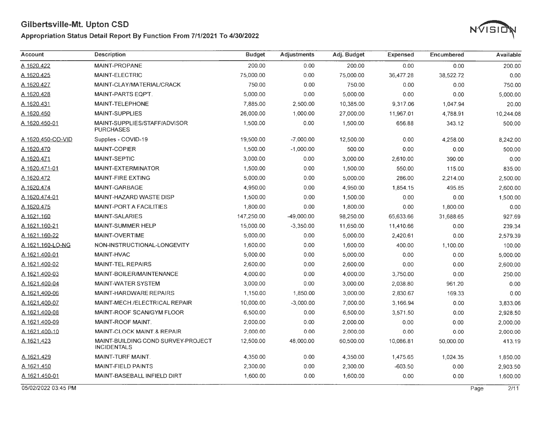#### **Appropriation Status Detail Report By Function From 7/1/2021 To 4/30/2022**



| Account              | <b>Description</b>                                       | <b>Budget</b> | <b>Adjustments</b> | Adj. Budget | <b>Expensed</b> | Encumbered | Available    |
|----------------------|----------------------------------------------------------|---------------|--------------------|-------------|-----------------|------------|--------------|
| A 1620.422           | <b>MAINT-PROPANE</b>                                     | 200.00        | 0.00               | 200.00      | 0.00            | 0.00       | 200.00       |
| A 1620.425           | MAINT-ELECTRIC                                           | 75,000.00     | 0.00               | 75,000.00   | 36,477.28       | 38,522.72  | 0.00         |
| A 1620.427           | MAINT-CLAY/MATERIAL/CRACK                                | 750.00        | 0.00               | 750.00      | 0.00            | 0.00       | 750.00       |
| A 1620.428           | MAINT-PARTS EQPT.                                        | 5,000.00      | 0.00               | 5,000.00    | 0.00            | 0.00       | 5,000.00     |
| A 1620.431           | MAINT-TELEPHONE                                          | 7,885.00      | 2,500.00           | 10,385.00   | 9,317.06        | 1,047.94   | 20.00        |
| A 1620.450           | <b>MAINT-SUPPLIES</b>                                    | 26,000.00     | 1,000.00           | 27,000.00   | 11,967.01       | 4,788.91   | 10,244.08    |
| <u>A 1620.450-01</u> | MAINT-SUPPLIES/STAFF/ADVISOR<br><b>PURCHASES</b>         | 1,500.00      | 0.00               | 1,500.00    | 656.88          | 343.12     | 500.00       |
| A 1620.450-CO-VID    | Supplies - COVID-19                                      | 19,500.00     | $-7,000.00$        | 12,500.00   | 0.00            | 4,258.00   | 8,242.00     |
| A 1620.470           | <b>MAINT-COPIER</b>                                      | 1,500.00      | $-1.000.00$        | 500.00      | 0.00            | 0.00       | 500.00       |
| A 1620.471           | <b>MAINT-SEPTIC</b>                                      | 3,000.00      | 0.00               | 3,000.00    | 2,610.00        | 390.00     | 0.00         |
| A 1620.471-01        | MAINT-EXTERMINATOR                                       | 1,500.00      | 0.00               | 1,500.00    | 550.00          | 115.00     | 835.00       |
| A 1620.472           | <b>MAINT-FIRE EXTING</b>                                 | 5,000.00      | 0.00               | 5,000.00    | 286.00          | 2,214.00   | 2,500.00     |
| A 1620.474           | MAINT-GARBAGE                                            | 4,950.00      | 0.00               | 4,950.00    | 1,854.15        | 495.85     | 2,600.00     |
| A 1620.474-01        | <b>MAINT-HAZARD WASTE DISP</b>                           | 1,500.00      | 0.00               | 1,500.00    | 0.00            | 0.00       | 1,500.00     |
| A 1620.475           | <b>MAINT-PORT A FACILITIES</b>                           | 1,800.00      | 0.00               | 1,800.00    | 0.00            | 1,800.00   | 0.00         |
| A 1621.160           | <b>MAINT-SALARIES</b>                                    | 147,250.00    | -49,000.00         | 98,250.00   | 65,633.66       | 31,688.65  | 927.69       |
| A 1621.160-21        | <b>MAINT-SUMMER HELP</b>                                 | 15,000.00     | $-3,350.00$        | 11,650.00   | 11,410.66       | 0.00       | 239.34       |
| A 1621.160-22        | <b>MAINT-OVERTIME</b>                                    | 5,000.00      | 0.00               | 5,000.00    | 2,420.61        | 0.00       | 2,579.39     |
| A 1621.160-LO-NG     | NON-INSTRUCTIONAL-LONGEVITY                              | 1,600.00      | 0.00               | 1,600.00    | 400.00          | 1,100.00   | 100.00       |
| A 1621.400-01        | <b>MAINT-HVAC</b>                                        | 5,000.00      | 0.00               | 5,000.00    | 0.00            | 0.00       | 5,000.00     |
| A 1621.400-02        | <b>MAINT-TEL.REPAIRS</b>                                 | 2,600.00      | 0.00               | 2,600.00    | 0.00            | 0.00       | 2,600.00     |
| A 1621.400-03        | MAINT-BOILER/MAINTENANCE                                 | 4,000.00      | 0.00               | 4,000.00    | 3,750.00        | 0.00       | 250.00       |
| A 1621.400-04        | <b>MAINT-WATER SYSTEM</b>                                | 3,000.00      | 0.00               | 3,000.00    | 2,038.80        | 961.20     | 0.00         |
| A 1621.400-06        | MAINT-HARDWARE REPAIRS                                   | 1,150.00      | 1,850.00           | 3,000.00    | 2,830.67        | 169.33     | 0.00         |
| A 1621,400-07        | MAINT-MECH./ELECTRICAL REPAIR                            | 10,000.00     | $-3,000.00$        | 7,000.00    | 3,166.94        | 0.00       | 3.833.06     |
| A 1621.400-08        | MAINT-ROOF SCAN/GYM FLOOR                                | 6,500.00      | 0.00               | 6,500.00    | 3,571.50        | 0.00       | 2.928.50     |
| A 1621.400-09        | MAINT-ROOF MAINT.                                        | 2,000.00      | 0.00               | 2,000.00    | 0.00            | 0.00       | 2,000.00     |
| A 1621.400-10        | MAINT-CLOCK MAINT.& REPAIR                               | 2,000.00      | 0.00               | 2,000.00    | 0.00            | 0.00       | 2,000.00     |
| A 1621.423           | MAINT-BUILDING COND SURVEY-PROJECT<br><b>INCIDENTALS</b> | 12,500.00     | 48,000.00          | 60,500.00   | 10,086.81       | 50.000.00  | 413.19       |
| A 1621.429           | MAINT-TURF MAINT.                                        | 4,350.00      | 0.00               | 4,350.00    | 1,475.65        | 1,024.35   | 1,850.00     |
| A 1621.450           | <b>MAINT-FIELD PAINTS</b>                                | 2,300.00      | 0.00               | 2,300.00    | $-603.50$       | 0.00       | 2,903.50     |
| A 1621.450-01        | MAINT-BASEBALL INFIELD DIRT                              | 1,600.00      | 0.00               | 1,600.00    | 0.00            | 0.00       | 1,600.00     |
| 05/02/2022 03:45 PM  |                                                          |               |                    |             |                 |            | 2/11<br>Page |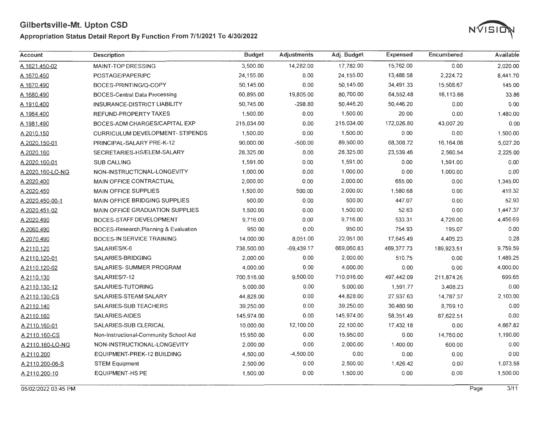## Appropriation Status Detail Report By Function From 7/1/2021 To 4/30/2022



| Account          | <b>Description</b>                      | <b>Budget</b> | <b>Adjustments</b> | Adj. Budget | <b>Expensed</b> | Encumbered | Available |
|------------------|-----------------------------------------|---------------|--------------------|-------------|-----------------|------------|-----------|
| A 1621.450-02    | MAINT-TOP DRESSING                      | 3,500.00      | 14,282.00          | 17,782.00   | 15,762.00       | 0.00       | 2,020.00  |
| A 1670.450       | POSTAGE/PAPER/PC                        | 24,155.00     | 0.00               | 24,155.00   | 13,488.58       | 2,224.72   | 8,441.70  |
| A 1670.490       | BOCES-PRINTING/Q-COPY                   | 50,145.00     | 0.00               | 50,145.00   | 34,491.33       | 15,508.67  | 145.00    |
| A 1680.490       | <b>BOCES-Central Data Processing</b>    | 60,895.00     | 19,805.00          | 80,700.00   | 64,552.48       | 16,113.66  | 33.86     |
| A 1910.400       | <b>INSURANCE-DISTRICT LIABILITY</b>     | 50,745.00     | $-298.80$          | 50,446.20   | 50,446.20       | 0.00       | 0.00      |
| A 1964.400       | REFUND-PROPERTY TAXES                   | 1,500.00      | 0.00               | 1,500.00    | 20.00           | 0.00       | 1,480.00  |
| A 1981.490       | BOCES-ADM CHARGES/CAPITAL EXP           | 215,034.00    | 0.00               | 215,034.00  | 172,026.80      | 43,007.20  | 0.00      |
| A 2010.150       | <b>CURRICULUM DEVELOPMENT- STIPENDS</b> | 1,500.00      | 0.00               | 1,500.00    | 0.00            | 0.00       | 1,500.00  |
| A 2020.150-01    | PRINCIPAL-SALARY PRE-K-12               | 90,000.00     | $-500.00$          | 89,500.00   | 68,308.72       | 16,164.08  | 5,027.20  |
| A 2020.160       | SECRETARIES-HS/ELEM-SALARY              | 28,325.00     | 0.00               | 28,325.00   | 23,539.46       | 2,560.54   | 2,225.00  |
| A 2020.160-01    | <b>SUB CALLING</b>                      | 1,591.00      | 0.00               | 1,591.00    | 0.00            | 1,591.00   | 0.00      |
| A 2020.160-LO-NG | NON-INSTRUCTIONAL-LONGEVITY             | 1,000.00      | 0.00               | 1,000.00    | 0.00            | 1,000.00   | 0.00      |
| A 2020.400       | <b>MAIN OFFICE CONTRACTUAL</b>          | 2,000.00      | 0.00               | 2,000.00    | 655.00          | 0.00       | 1,345.00  |
| A 2020.450       | <b>MAIN OFFICE SUPPLIES</b>             | 1,500.00      | 500.00             | 2,000.00    | 1,580.68        | 0.00       | 419.32    |
| A 2020.450-00-1  | MAIN OFFICE BRIDGING SUPPLIES           | 500.00        | 0.00               | 500.00      | 447.07          | 0.00       | 52.93     |
| A 2020.451-02    | <b>MAIN OFFICE GRADUATION SUPPLIES</b>  | 1,500.00      | 0.00               | 1,500.00    | 52.63           | 0.00       | 1,447.37  |
| A 2020.490       | BOCES-STAFF DEVELOPMENT                 | 9,716.00      | 0.00               | 9,716.00    | 533.31          | 4,726.00   | 4,456.69  |
| A 2060.490       | BOCES-Research, Planning & Evaluation   | 950.00        | 0.00               | 950.00      | 754.93          | 195.07     | 0.00      |
| A 2070.490       | <b>BOCES-IN SERVICE TRAINING</b>        | 14,000.00     | 8,051.00           | 22,051.00   | 17,645.49       | 4,405.23   | 0.28      |
| A 2110.120       | SALARIES/K-6                            | 738,500.00    | $-69,439.17$       | 669,060.83  | 469,377.73      | 189,923.51 | 9,759.59  |
| A 2110.120-01    | SALARIES-BRIDGING                       | 2,000.00      | 0.00               | 2,000.00    | 510.75          | 0.00       | 1,489.25  |
| A 2110.120-02    | SALARIES- SUMMER PROGRAM                | 4,000.00      | 0.00               | 4,000.00    | 0.00            | 0.00       | 4,000.00  |
| A 2110.130       | SALARIES/7-12                           | 700.516.00    | 9,500.00           | 710,016.00  | 497,442.09      | 211,874.26 | 699.65    |
| A 2110.130-12    | SALARIES-TUTORING                       | 5,000.00      | 0.00               | 5,000.00    | 1,591.77        | 3,408.23   | 0.00      |
| A 2110.130-CS    | SALARIES-STEAM SALARY                   | 44,828.00     | 0.00               | 44,828.00   | 27,937.63       | 14,787.37  | 2,103.00  |
| A 2110.140       | SALARIES-SUB TEACHERS                   | 39,250.00     | 0.00               | 39,250.00   | 30,480.90       | 8,769.10   | 0.00      |
| A 2110.160       | SALARIES-AIDES                          | 145,974.00    | 0.00               | 145,974.00  | 58,351.49       | 87,622.51  | 0.00      |
| A 2110.160-01    | SALARIES-SUB CLERICAL                   | 10,000.00     | 12,100.00          | 22,100.00   | 17,432.18       | 0.00       | 4,667.82  |
| A 2110.160-CS    | Non-Instructional-Community School Aid  | 15,950.00     | 0.00               | 15,950.00   | 0.00            | 14,760.00  | 1,190.00  |
| A 2110.160-LO-NG | NON-INSTRUCTIONAL-LONGEVITY             | 2,000.00      | 0.00               | 2,000.00    | 1,400.00        | 600.00     | 0.00      |
| A 2110.200       | EQUIPMENT-PREK-12 BUILDING              | 4,500.00      | $-4,500.00$        | 0.00        | 0.00            | 0.00       | 0.00      |
| A 2110.200-06-S  | <b>STEM Equipment</b>                   | 2,500.00      | 0.00               | 2,500.00    | 1,426.42        | 0.00       | 1,073.58  |
| A 2110.200-10    | <b>EQUIPMENT-HS PE</b>                  | 1,500.00      | 0.00               | 1,500.00    | 0.00            | 0.00       | 1,500.00  |

05/02/2022 03:45 PM Page 3/11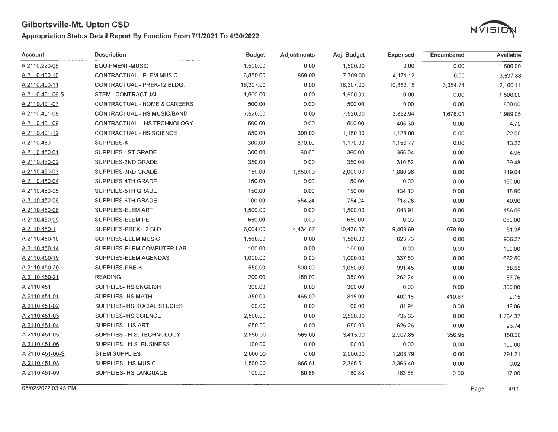### Appropriation Status Detail Report By Function From 7/1/2021 To 4/30/2022



| Account         | <b>Description</b>              | <b>Budget</b> | <b>Adjustments</b> | Adj. Budget | <b>Expensed</b> | Encumbered | <b>Available</b> |
|-----------------|---------------------------------|---------------|--------------------|-------------|-----------------|------------|------------------|
| A 2110.220-08   | EQUIPMENT-MUSIC                 | 1,500.00      | 0.00               | 1,500.00    | 0.00            | 0.00       | 1,500.00         |
| A 2110.400-10   | <b>CONTRACTUAL - ELEM MUSIC</b> | 6,850.00      | 859.00             | 7,709.00    | 4,171.12        | 0.00       | 3,537.88         |
| A 2110.400-11   | CONTRACTUAL - PREK-12 BLDG.     | 16,307.00     | 0.00               | 16,307.00   | 10,852.15       | 3,354.74   | 2,100.11         |
| A 2110.401-06-S | STEM - CONTRACTUAL              | 1,500.00      | 0.00               | 1,500.00    | 0.00            | 0.00       | 1,500.00         |
| A 2110.401-07   | CONTRACTUAL - HOME & CAREERS    | 500.00        | 0.00               | 500.00      | 0.00            | 0.00       | 500.00           |
| A 2110.401-08   | CONTRACTUAL - HS MUSIC/BAND     | 7,520.00      | 0.00               | 7,520.00    | 3,852.94        | 1,678.01   | 1,989.05         |
| A 2110.401-09   | CONTRACTUAL - HS TECHNOLOGY     | 500.00        | 0.00               | 500.00      | 495.30          | 0.00       | 4.70             |
| A 2110.401-12   | CONTRACTUAL - HS SCIENCE        | 850.00        | 300.00             | 1,150.00    | 1,128.00        | 0.00       | 22.00            |
| A 2110.450      | SUPPLIES-K                      | 300.00        | 870.00             | 1,170.00    | 1,156.77        | 0.00       | 13.23            |
| A 2110.450-01   | SUPPLIES-1ST GRADE              | 300.00        | 60.00              | 360.00      | 355.04          | 0.00       | 4.96             |
| A 2110.450-02   | SUPPLIES-2ND GRADE              | 350.00        | 0.00               | 350.00      | 310.52          | 0.00       | 39.48            |
| A 2110.450-03   | SUPPLIES-3RD GRADE              | 150.00        | 1,850.00           | 2,000.00    | 1,880.96        | 0.00       | 119.04           |
| A 2110.450-04   | SUPPLIES-4TH GRADE              | 150.00        | 0.00               | 150.00      | 0.00            | 0.00       | 150.00           |
| A 2110.450-05   | SUPPLIES-5TH GRADE              | 150.00        | 0.00               | 150.00      | 134.10          | 0.00       | 15.90            |
| A 2110.450-06   | SUPPLIES-6TH GRADE              | 100.00        | 654.24             | 754.24      | 713.28          | 0.00       | 40.96            |
| A 2110.450-08   | <b>SUPPLIES-ELEM ART</b>        | 1,500.00      | 0.00               | 1,500.00    | 1,043.91        | 0.00       | 456.09           |
| A 2110.450-09   | SUPPLIES-ELEM PE                | 650.00        | 0.00               | 650.00      | 0.00            | 0.00       | 650.00           |
| A 2110.450-1    | SUPPLIES-PREK-12 BLD            | 6,004.00      | 4,434.87           | 10,438.87   | 9,408.69        | 978.80     | 51.38            |
| A 2110.450-10   | SUPPLIES-ELEM MUSIC             | 1,560.00      | 0.00               | 1,560.00    | 623.73          | 0.00       | 936.27           |
| A 2110.450-14   | SUPPLIES-ELEM COMPUTER LAB      | 100.00        | 0.00               | 100.00      | 0.00            | 0.00       | 100.00           |
| A 2110.450-19   | SUPPLIES-ELEM AGENDAS           | 1,000.00      | 0.00               | 1,000.00    | 337.50          | 0.00       | 662.50           |
| A 2110.450-20   | SUPPLIES-PRE-K                  | 550.00        | 500.00             | 1,050.00    | 991.45          | 0.00       | 58.55            |
| A 2110.450-21   | <b>READING</b>                  | 200.00        | 150.00             | 350.00      | 262.24          | 0.00       | 87.76            |
| A 2110.451      | SUPPLIES- HS ENGLISH            | 300.00        | 0.00               | 300.00      | 0.00            | 0.00       | 300.00           |
| A 2110.451-01   | SUPPLIES- HS MATH               | 350.00        | 465.00             | 815.00      | 402.18          | 410.67     | 2.15             |
| A 2110.451-02   | SUPPLIES- HS SOCIAL STUDIES     | 100.00        | 0.00               | 100.00      | 81.94           | 0.00       | 18.06            |
| A 2110.451-03   | SUPPLIES- HS SCIENCE            | 2,500.00      | 0.00               | 2,500.00    | 735.63          | 0.00       | 1,764.37         |
| A 2110.451-04   | SUPPLIES - HS ART               | 650.00        | 0.00               | 650.00      | 626.26          | 0.00       | 23.74            |
| A 2110.451-05   | SUPPLIES - H.S. TECHNOLOGY      | 2,850.00      | 565.00             | 3,415.00    | 2,907.85        | 356.95     | 150.20           |
| A 2110.451-06   | SUPPLIES - H.S. BUSINESS        | 100.00        | 0.00               | 100.00      | 0.00            | 0.00       | 100.00           |
| A 2110.451-06-S | <b>STEM SUPPLIES</b>            | 2,000.00      | 0.00               | 2,000.00    | 1,208.79        | 0.00       | 791.21           |
| A 2110.451-08   | SUPPLIES - HS MUSIC             | 1,500.00      | 865.51             | 2,365.51    | 2,365.49        | 0.00       | 0.02             |
| A 2110.451-09   | SUPPLIES- HS LANGUAGE           | 100.00        | 80.88              | 180.88      | 163.88          | 0.00       | 17.00            |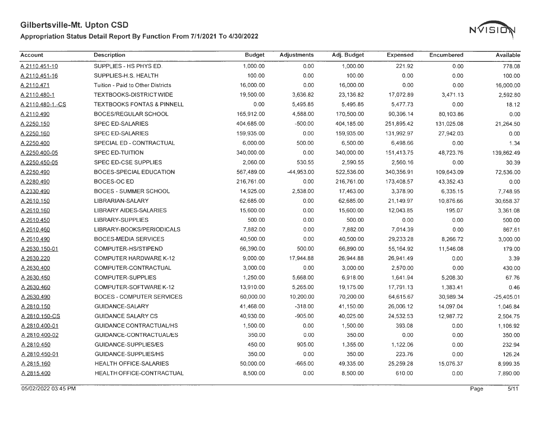#### Appropriation Status Detail Report By Function From 7/1/2021 To 4/30/2022



| <b>Account</b>   | <b>Description</b>                    | <b>Budget</b> | <b>Adjustments</b> | Adj. Budget | <b>Expensed</b> | Encumbered | Available    |
|------------------|---------------------------------------|---------------|--------------------|-------------|-----------------|------------|--------------|
| A 2110.451-10    | SUPPLIES - HS PHYS ED.                | 1,000.00      | 0.00               | 1,000.00    | 221.92          | 0.00       | 778.08       |
| A 2110.451-16    | SUPPLIES-H.S. HEALTH                  | 100.00        | 0.00               | 100.00      | 0.00            | 0.00       | 100.00       |
| A 2110.471       | Tuition - Paid to Other Districts     | 16,000.00     | 0.00               | 16,000.00   | 0.00            | 0.00       | 16,000.00    |
| A 2110.480-1     | TEXTBOOKS-DISTRICT WIDE               | 19,500.00     | 3,636.82           | 23,136.82   | 17,072.89       | 3,471.13   | 2,592.80     |
| A 2110.480-1.-CS | <b>TEXTBOOKS FONTAS &amp; PINNELL</b> | 0.00          | 5,495.85           | 5,495.85    | 5,477.73        | 0.00       | 18.12        |
| A 2110.490       | BOCES/REGULAR SCHOOL                  | 165,912.00    | 4,588.00           | 170,500.00  | 90,396.14       | 80,103.86  | 0.00         |
| A 2250.150       | <b>SPEC ED-SALARIES</b>               | 404,685.00    | $-500.00$          | 404,185.00  | 251,895.42      | 131,025.08 | 21,264.50    |
| A 2250.160       | <b>SPEC ED-SALARIES</b>               | 159,935.00    | 0.00               | 159,935.00  | 131,992.97      | 27,942.03  | 0.00         |
| A 2250.400       | SPECIAL ED - CONTRACTUAL              | 6,000.00      | 500.00             | 6,500.00    | 6,498.66        | 0.00       | 1.34         |
| A 2250.400-05    | <b>SPEC ED-TUITION</b>                | 340,000.00    | 0.00               | 340,000.00  | 151,413.75      | 48,723.76  | 139,862.49   |
| A 2250.450-05    | SPEC ED-CSE SUPPLIES                  | 2,060.00      | 530.55             | 2,590.55    | 2,560.16        | 0.00       | 30.39        |
| A 2250.490       | BOCES-SPECIAL EDUCATION               | 567,489.00    | $-44,953.00$       | 522,536.00  | 340,356.91      | 109,643.09 | 72,536.00    |
| A 2280.490       | BOCES-OC ED                           | 216,761.00    | 0.00               | 216,761.00  | 173,408.57      | 43,352.43  | 0.00         |
| A 2330.490       | <b>BOCES - SUMMER SCHOOL</b>          | 14,925.00     | 2,538.00           | 17,463.00   | 3,378.90        | 6,335.15   | 7,748.95     |
| A 2610.150       | LIBRARIAN-SALARY                      | 62,685.00     | 0.00               | 62,685.00   | 21,149.97       | 10,876.66  | 30,658.37    |
| A 2610.160       | <b>LIBRARY AIDES-SALARIES</b>         | 15,600.00     | 0.00               | 15,600.00   | 12,043.85       | 195.07     | 3,361.08     |
| A 2610.450       | LIBRARY-SUPPLIES                      | 500.00        | 0.00               | 500.00      | 0.00            | 0.00       | 500.00       |
| A 2610.460       | LIBRARY-BOOKS/PERIODICALS             | 7,882.00      | 0.00               | 7,882.00    | 7,014.39        | 0.00       | 867.61       |
| A 2610.490       | <b>BOCES-MEDIA SERVICES</b>           | 40,500.00     | 0.00               | 40,500.00   | 29,233.28       | 8,266.72   | 3,000.00     |
| A 2630.150-01    | COMPUTER-HS/STIPEND                   | 66,390.00     | 500.00             | 66,890.00   | 55,164.92       | 11,546.08  | 179.00       |
| A 2630.220       | <b>COMPUTER HARDWARE K-12</b>         | 9,000.00      | 17,944.88          | 26,944.88   | 26,941.49       | 0.00       | 3.39         |
| A 2630.400       | COMPUTER-CONTRACTUAL                  | 3,000.00      | 0.00               | 3,000.00    | 2,570.00        | 0.00       | 430.00       |
| A 2630.450       | COMPUTER-SUPPLIES                     | 1,250.00      | 5,668.00           | 6,918.00    | 1,641.94        | 5,208.30   | 67.76        |
| A 2630.460       | COMPUTER-SOFTWARE K-12                | 13,910.00     | 5.265.00           | 19,175.00   | 17,791.13       | 1,383.41   | 0.46         |
| A 2630.490       | <b>BOCES - COMPUTER SERVICES</b>      | 60,000.00     | 10,200.00          | 70,200.00   | 64,615.67       | 30,989.34  | $-25,405.01$ |
| A 2810.150       | <b>GUIDANCE-SALARY</b>                | 41,468.00     | $-318.00$          | 41,150.00   | 26,006.12       | 14,097.04  | 1,046.84     |
| A 2810.150-CS    | <b>GUIDANCE SALARY CS</b>             | 40,930.00     | $-905.00$          | 40,025.00   | 24,532.53       | 12,987.72  | 2,504.75     |
| A 2810.400-01    | GUIDANCE CONTRACTUAL/HS               | 1,500.00      | 0.00               | 1,500.00    | 393.08          | 0.00       | 1,106.92     |
| A 2810.400-02    | GUIDANCE-CONTRACTUAL/ES               | 350.00        | 0.00               | 350.00      | 0.00            | 0.00       | 350.00       |
| A 2810.450       | GUIDANCE-SUPPLIES/ES                  | 450.00        | 905.00             | 1,355.00    | 1,122.06        | 0.00       | 232.94       |
| A 2810.450-01    | GUIDANCE-SUPPLIES/HS                  | 350.00        | 0.00               | 350.00      | 223.76          | 0.00       | 126.24       |
| A 2815.160       | <b>HEALTH OFFICE-SALARIES</b>         | 50,000.00     | $-665.00$          | 49,335.00   | 25,259.28       | 15,076.37  | 8,999.35     |
| A 2815.400       | HEALTH OFFICE-CONTRACTUAL             | 8,500.00      | 0.00               | 8,500.00    | 610.00          | 0.00       | 7,890.00     |

05/02/2022 03:45 PM Page 5/11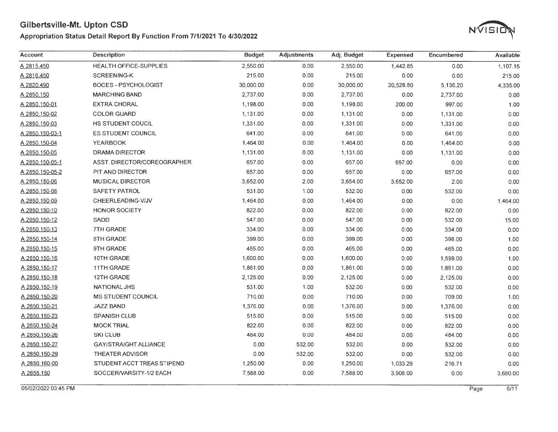### Appropriation Status Detail Report By Function From 7/1/2021 To 4/30/2022



| Account              | <b>Description</b>           | <b>Budget</b> | <b>Adjustments</b> | Adj. Budget | <b>Expensed</b> | Encumbered | Available |
|----------------------|------------------------------|---------------|--------------------|-------------|-----------------|------------|-----------|
| A 2815.450           | HEALTH OFFICE-SUPPLIES       | 2,550.00      | 0.00               | 2,550.00    | 1,442.85        | 0.00       | 1,107.15  |
| A 2816.450           | <b>SCREENING-K</b>           | 215.00        | 0.00               | 215.00      | 0.00            | 0.00       | 215.00    |
| A 2820.490           | <b>BOCES - PSYCHOLOGIST</b>  | 30,000.00     | 0.00               | 30,000.00   | 20,528.80       | 5,136.20   | 4,335.00  |
| A 2850.150           | <b>MARCHING BAND</b>         | 2,737.00      | 0.00               | 2,737.00    | 0.00            | 2,737.00   | 0.00      |
| A 2850.150-01        | <b>EXTRA CHORAL</b>          | 1,198.00      | 0.00               | 1,198.00    | 200.00          | 997.00     | 1.00      |
| A 2850.150-02        | <b>COLOR GUARD</b>           | 1,131.00      | 0.00               | 1,131.00    | 0.00            | 1,131.00   | 0.00      |
| A 2850.150-03        | HS STUDENT COUCIL            | 1,331.00      | 0.00               | 1,331.00    | 0.00            | 1,331.00   | 0.00      |
| A 2850.150-03-1      | <b>ES STUDENT COUNCIL</b>    | 641.00        | 0.00               | 641.00      | 0.00            | 641.00     | 0.00      |
| A 2850.150-04        | <b>YEARBOOK</b>              | 1,464.00      | 0.00               | 1,464.00    | 0.00            | 1,464.00   | 0.00      |
| A 2850.150-05        | DRAMA DIRECTOR               | 1,131.00      | 0.00               | 1,131.00    | 0.00            | 1,131.00   | 0.00      |
| A 2850.150-05-1      | ASST. DIRECTOR/COREOGRAPHER  | 657.00        | 0.00               | 657.00      | 657.00          | 0.00       | 0.00      |
| A 2850.150-05-2      | PIT AND DIRECTOR             | 657.00        | 0.00               | 657.00      | 0.00            | 657.00     | 0.00      |
| A 2850.150-06        | <b>MUSICAL DIRECTOR</b>      | 3,652.00      | 2.00               | 3,654.00    | 3,652.00        | 2.00       | 0.00      |
| A 2850.150-08        | <b>SAFETY PATROL</b>         | 531.00        | 1.00               | 532.00      | 0.00            | 532.00     | 0.00      |
| <u>A 2850.150-09</u> | CHEERLEADING-V/JV            | 1,464.00      | 0.00               | 1,464.00    | 0.00            | 0.00       | 1,464.00  |
| A 2850.150-10        | HONOR SOCIETY                | 822.00        | 0.00               | 822.00      | 0.00            | 822.00     | 0.00      |
| A 2850.150-12        | SADD                         | 547.00        | 0.00               | 547.00      | 0.00            | 532.00     | 15.00     |
| A 2850.150-13        | 7TH GRADE                    | 334.00        | 0.00               | 334.00      | 0.00            | 334.00     | 0.00      |
| A 2850.150-14        | 8TH GRADE                    | 399.00        | 0.00               | 399.00      | 0.00            | 398.00     | 1.00      |
| <u>A 2850.150-15</u> | 9TH GRADE                    | 465.00        | 0.00               | 465.00      | 0.00            | 465.00     | 0.00      |
| A 2850.150-16        | 10TH GRADE                   | 1,600.00      | 0.00               | 1,600.00    | 0.00            | 1,599.00   | 1.00      |
| A 2850.150-17        | 11TH GRADE                   | 1,861.00      | 0.00               | 1,861.00    | 0.00            | 1,861.00   | 0.00      |
| <u>A 2850.150-18</u> | 12TH GRADE                   | 2,125.00      | 0.00               | 2,125.00    | 0.00            | 2,125.00   | 0.00      |
| A 2850.150-19        | <b>NATIONAL JHS</b>          | 531.00        | 1.00               | 532.00      | 0.00            | 532.00     | 0.00      |
| A 2850.150-20        | <b>MS STUDENT COUNCIL</b>    | 710.00        | 0.00               | 710.00      | 0.00            | 709.00     | 1.00      |
| A 2850.150-21        | <b>JAZZ BAND</b>             | 1,376.00      | 0.00               | 1,376.00    | 0.00            | 1,376.00   | 0.00      |
| A 2850.150-23        | <b>SPANISH CLUB</b>          | 515.00        | 0.00               | 515.00      | 0.00            | 515.00     | 0.00      |
| A 2850.150-24        | <b>MOCK TRIAL</b>            | 822.00        | 0.00               | 822.00      | 0.00            | 822.00     | 0.00      |
| A 2850.150-26        | <b>SKI CLUB</b>              | 484.00        | 0.00               | 484.00      | 0.00            | 484.00     | 0.00      |
| A 2850.150-27        | <b>GAY/STRAIGHT ALLIANCE</b> | 0.00          | 532.00             | 532.00      | 0.00            | 532.00     | 0.00      |
| A 2850.150-29        | <b>THEATER ADVISOR</b>       | 0.00          | 532.00             | 532.00      | 0.00            | 532.00     | 0.00      |
| A 2850.160-00        | STUDENT ACCT TREAS STIPEND   | 1,250.00      | 0.00               | 1,250.00    | 1,033.29        | 216.71     | 0.00      |
| A 2855.150           | SOCCER/VARSITY-1/2 EACH      | 7,588.00      | 0.00               | 7,588.00    | 3,908.00        | 0.00       | 3,680.00  |

05/02/2022 03:45 PM Page 6/11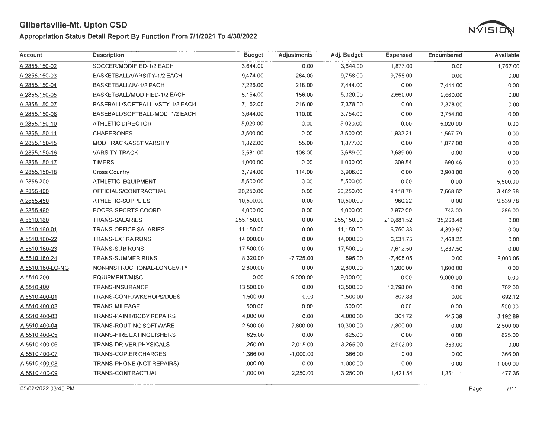### **Appropriation Status Detail Report By Function From 7/1/2021 To 4/30/2022**



| Account          | <b>Description</b>              | <b>Budget</b> | <b>Adjustments</b> | Adj. Budget | <b>Expensed</b> | <b>Encumbered</b> | <b>Available</b> |
|------------------|---------------------------------|---------------|--------------------|-------------|-----------------|-------------------|------------------|
| A 2855.150-02    | SOCCER/MODIFIED-1/2 EACH        | 3,644.00      | 0.00               | 3,644.00    | 1,877.00        | 0.00              | 1,767.00         |
| A 2855.150-03    | BASKETBALL/VARSITY-1/2 EACH     | 9,474.00      | 284.00             | 9,758.00    | 9,758.00        | 0.00              | 0.00             |
| A 2855 150-04    | BASKETBALL/JV-1/2 EACH          | 7,226.00      | 218.00             | 7,444.00    | 0.00            | 7,444.00          | 0.00             |
| A 2855.150-05    | BASKETBALL/MODIFIED-1/2 EACH    | 5,164.00      | 156.00             | 5,320.00    | 2,660.00        | 2,660.00          | 0.00             |
| A 2855.150-07    | BASEBALL/SOFTBALL-VSTY-1/2 EACH | 7,162.00      | 216.00             | 7,378.00    | 0.00            | 7,378.00          | 0.00             |
| A 2855.150-08    | BASEBALL/SOFTBALL-MOD 1/2 EACH  | 3,644.00      | 110.00             | 3,754.00    | 0.00            | 3,754.00          | 0.00             |
| A 2855.150-10    | ATHLETIC DIRECTOR               | 5,020.00      | 0.00               | 5,020.00    | 0.00            | 5,020.00          | 0.00             |
| A 2855.150-11    | <b>CHAPERONES</b>               | 3,500.00      | 0.00               | 3,500.00    | 1,932.21        | 1,567.79          | 0.00             |
| A 2855.150-15    | <b>MOD TRACK/ASST VARSITY</b>   | 1,822.00      | 55.00              | 1,877.00    | 0.00            | 1,877.00          | 0.00             |
| A 2855.150-16    | <b>VARSITY TRACK</b>            | 3,581.00      | 108.00             | 3,689.00    | 3,689.00        | 0.00              | 0.00             |
| A 2855.150-17    | <b>TIMERS</b>                   | 1,000.00      | 0.00               | 1,000.00    | 309.54          | 690.46            | 0.00             |
| A 2855.150-18    | <b>Cross Country</b>            | 3,794.00      | 114.00             | 3,908.00    | 0.00            | 3,908.00          | 0.00             |
| A 2855.200       | ATHLETIC-EQUIPMENT              | 5,500.00      | 0.00               | 5,500.00    | 0.00            | 0.00              | 5,500.00         |
| A 2855.400       | OFFICIALS/CONTRACTUAL           | 20,250.00     | 0.00               | 20,250.00   | 9,118.70        | 7,668.62          | 3,462.68         |
| A 2855.450       | ATHLETIC-SUPPLIES               | 10,500.00     | 0.00               | 10,500.00   | 960.22          | 0.00              | 9,539.78         |
| A 2855.490       | BOCES-SPORTS COORD              | 4,000.00      | 0.00               | 4,000.00    | 2,972.00        | 743.00            | 285.00           |
| A 5510.160       | <b>TRANS-SALARIES</b>           | 255,150.00    | 0.00               | 255,150.00  | 219,881.52      | 35,268.48         | 0.00             |
| A 5510.160-01    | <b>TRANS-OFFICE SALARIES</b>    | 11,150.00     | 0.00               | 11,150.00   | 6,750.33        | 4,399.67          | 0.00             |
| A 5510.160-22    | <b>TRANS-EXTRA RUNS</b>         | 14,000.00     | 0.00               | 14,000.00   | 6,531.75        | 7,468.25          | 0.00             |
| A 5510.160-23    | <b>TRANS-SUB RUNS</b>           | 17,500.00     | 0.00               | 17,500.00   | 7,612.50        | 9,887.50          | 0.00             |
| A 5510.160-24    | <b>TRANS-SUMMER RUNS</b>        | 8,320.00      | $-7,725.00$        | 595.00      | $-7,405.05$     | 0.00              | 8,000.05         |
| A 5510.160-LO-NG | NON-INSTRUCTIONAL-LONGEVITY     | 2,800.00      | 0.00               | 2,800.00    | 1,200.00        | 1,600.00          | 0.00             |
| A 5510.200       | EQUIPMENT/MISC                  | 0.00          | 9,000.00           | 9,000.00    | 0.00            | 9,000.00          | 0.00             |
| A 5510.400       | <b>TRANS-INSURANCE</b>          | 13,500.00     | 0.00               | 13,500.00   | 12,798.00       | 0.00              | 702.00           |
| A 5510.400-01    | TRANS-CONF./WKSHOPS/DUES        | 1,500.00      | 0.00               | 1,500.00    | 807.88          | 0.00              | 692.12           |
| A 5510.400-02    | <b>TRANS-MILEAGE</b>            | 500.00        | 0.00               | 500.00      | 0.00            | 0.00              | 500.00           |
| A 5510.400-03    | TRANS-PAINT/BODY REPAIRS        | 4,000.00      | 0.00               | 4,000.00    | 361.72          | 445.39            | 3,192.89         |
| A 5510.400-04    | <b>TRANS-ROUTING SOFTWARE</b>   | 2,500.00      | 7,800.00           | 10,300.00   | 7,800.00        | 0.00              | 2,500.00         |
| A 5510.400-05    | <b>TRANS-FIRE EXTINGUISHERS</b> | 625.00        | 0.00               | 625.00      | 0.00            | 0.00              | 625.00           |
| A 5510.400-06    | <b>TRANS-DRIVER PHYSICALS</b>   | 1,250.00      | 2,015.00           | 3,265.00    | 2,902.00        | 363.00            | 0.00             |
| A 5510.400-07    | <b>TRANS-COPIER CHARGES</b>     | 1,366.00      | $-1,000.00$        | 366.00      | 0.00            | 0.00              | 366.00           |
| A 5510.400-08    | TRANS-PHONE (NOT REPAIRS)       | 1,000.00      | 0.00               | 1,000.00    | 0.00            | 0.00              | 1,000.00         |
| A 5510.400-09    | TRANS-CONTRACTUAL               | 1,000.00      | 2,250.00           | 3,250.00    | 1,421.54        | 1,351.11          | 477.35           |

0510212022 03:45 PM Page 7/11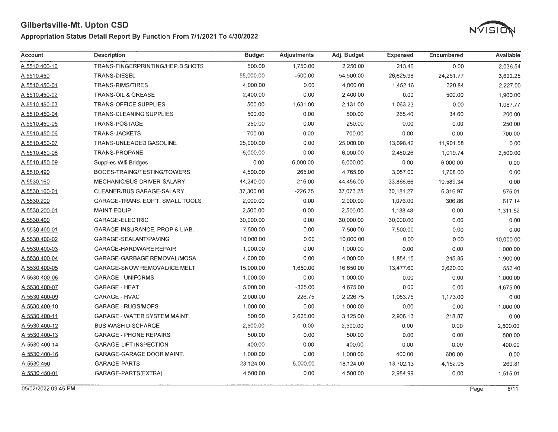#### Appropriation Status Detail Report By Function From 7/1/2021 To 4/30/2022



| Account       | <b>Description</b>                  | <b>Budget</b> | <b>Adjustments</b> | Adj. Budget | <b>Expensed</b> | Encumbered | Available |
|---------------|-------------------------------------|---------------|--------------------|-------------|-----------------|------------|-----------|
| A 5510.400-10 | TRANS-FINGERPRINTING/HEP.B SHOTS    | 500.00        | 1,750.00           | 2,250.00    | 213.46          | 0.00       | 2,036.54  |
| A 5510.450    | <b>TRANS-DIESEL</b>                 | 55,000.00     | $-500.00$          | 54,500.00   | 26,625.98       | 24,251.77  | 3,622.25  |
| A 5510.450-01 | <b>TRANS-RIMS/TIRES</b>             | 4,000.00      | 0.00               | 4,000.00    | 1,452.16        | 320.84     | 2,227.00  |
| A 5510.450-02 | <b>TRANS-OIL &amp; GREASE</b>       | 2,400.00      | 0.00               | 2,400.00    | 0.00            | 500.00     | 1,900.00  |
| A 5510.450-03 | <b>TRANS-OFFICE SUPPLIES</b>        | 500.00        | 1,631.00           | 2,131.00    | 1,063.23        | 0.00       | 1,067.77  |
| A 5510.450-04 | <b>TRANS-CLEANING SUPPLIES</b>      | 500.00        | 0.00               | 500.00      | 265.40          | 34.60      | 200.00    |
| A 5510.450-05 | <b>TRANS-POSTAGE</b>                | 250.00        | 0.00               | 250.00      | 0.00            | 0.00       | 250.00    |
| A 5510.450-06 | <b>TRANS-JACKETS</b>                | 700.00        | 0.00               | 700.00      | 0.00            | 0.00       | 700.00    |
| A 5510.450-07 | <b>TRANS-UNLEADED GASOLINE</b>      | 25,000.00     | 0.00               | 25,000.00   | 13,098.42       | 11,901.58  | 0.00      |
| A 5510.450-08 | <b>TRANS-PROPANE</b>                | 6,000.00      | 0.00               | 6,000.00    | 2,480.26        | 1,019.74   | 2,500.00  |
| A 5510.450-09 | Supplies-Wifi Bridges               | 0.00          | 6,000.00           | 6,000.00    | 0.00            | 6,000.00   | 0.00      |
| A 5510.490    | BOCES-TRAING/TESTING/TOWERS         | 4,500.00      | 265.00             | 4,765.00    | 3,057.00        | 1,708.00   | 0.00      |
| A 5530.160    | <b>MECHANIC/BUS DRIVER-SALARY</b>   | 44,240.00     | 216.00             | 44,456.00   | 33,866.66       | 10,589.34  | 0.00      |
| A 5530.160-01 | CLEANER/BUS GARAGE-SALARY           | 37,300.00     | $-226.75$          | 37,073.25   | 30,181.27       | 6,316.97   | 575.01    |
| A 5530.200    | GARAGE-TRANS. EQP'T. SMALL TOOLS    | 2,000.00      | 0.00               | 2,000.00    | 1,076.00        | 306.86     | 617.14    |
| A 5530.200-01 | <b>MAINT EQUIP</b>                  | 2,500.00      | 0.00               | 2,500.00    | 1,188.48        | 0.00       | 1,311.52  |
| A 5530.400    | <b>GARAGE-ELECTRIC</b>              | 30,000.00     | 0.00               | 30,000.00   | 30,000.00       | 0.00       | 0.00      |
| A 5530,400-01 | GARAGE-INSURANCE, PROP & LIAB.      | 7,500.00      | 0.00               | 7,500.00    | 7,500.00        | 0.00       | 0.00      |
| A 5530.400-02 | GARAGE-SEALANT/PAVING               | 10,000.00     | 0.00               | 10,000.00   | 0.00            | 0.00       | 10,000.00 |
| A 5530.400-03 | <b>GARAGE-HARDWARE REPAIR</b>       | 1,000.00      | 0.00               | 1,000.00    | 0.00            | 0.00       | 1,000.00  |
| A 5530.400-04 | GARAGE-GARBAGE REMOVAL/MOSA         | 4,000.00      | 0.00               | 4,000.00    | 1,854.15        | 245.85     | 1,900.00  |
| A 5530.400-05 | <b>GARAGE-SNOW REMOVAL/ICE MELT</b> | 15,000.00     | 1,650.00           | 16,650.00   | 13,477.60       | 2,620.00   | 552.40    |
| A 5530.400-06 | <b>GARAGE - UNIFORMS</b>            | 1,000.00      | 0.00               | 1,000.00    | 0.00            | 0.00       | 1,000.00  |
| A 5530.400-07 | <b>GARAGE - HEAT</b>                | 5,000.00      | $-325.00$          | 4,675.00    | 0.00            | 0.00       | 4,675.00  |
| A 5530.400-09 | <b>GARAGE - HVAC</b>                | 2,000.00      | 226.75             | 2,226.75    | 1,053.75        | 1,173.00   | 0.00      |
| A 5530.400-10 | <b>GARAGE - RUGS/MOPS</b>           | 1,000.00      | 0.00               | 1,000.00    | 0.00            | 0.00       | 1,000.00  |
| A 5530.400-11 | <b>GARAGE - WATER SYSTEM MAINT.</b> | 500.00        | 2,625.00           | 3,125.00    | 2,906.13        | 218.87     | 0.00      |
| A 5530.400-12 | <b>BUS WASH DISCHARGE</b>           | 2,500.00      | 0.00               | 2,500.00    | 0.00            | 0.00       | 2,500.00  |
| A 5530.400-13 | <b>GARAGE - PHONE REPAIRS</b>       | 500.00        | 0.00               | 500.00      | 0.00            | 0.00       | 500.00    |
| A 5530.400-14 | <b>GARAGE-LIFT INSPECTION</b>       | 400.00        | 0.00               | 400.00      | 0.00            | 0.00       | 400.00    |
| A 5530.400-16 | GARAGE-GARAGE DOOR MAINT.           | 1,000.00      | 0.00               | 1,000.00    | 400.00          | 600.00     | 0.00      |
| A 5530.450    | <b>GARAGE-PARTS</b>                 | 23,124.00     | $-5,000.00$        | 18,124.00   | 13,702.13       | 4,152.06   | 269.81    |
| A 5530.450-01 | GARAGE-PARTS(EXTRA)                 | 4,500.00      | 0.00               | 4,500.00    | 2,984.99        | 0.00       | 1,515.01  |

05/02/2022 03:45 PM Page 8/11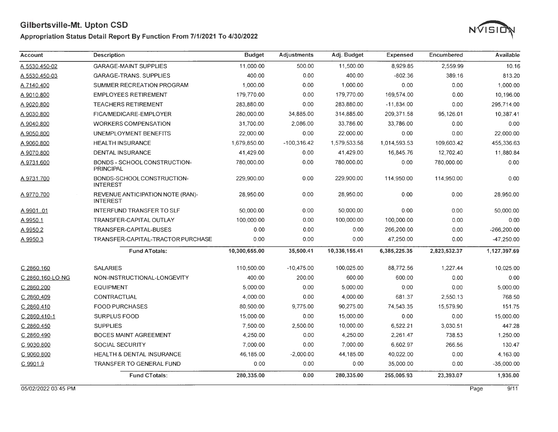#### Appropriation Status Detail Report By Function From 7/1/2021 To 4/30/2022



| <b>Account</b>   | <b>Description</b>                                  | <b>Budget</b> | <b>Adjustments</b> | Adj. Budget   | <b>Expensed</b> | Encumbered   | Available    |
|------------------|-----------------------------------------------------|---------------|--------------------|---------------|-----------------|--------------|--------------|
| A 5530.450-02    | <b>GARAGE-MAINT SUPPLIES</b>                        | 11,000.00     | 500.00             | 11,500.00     | 8,929.85        | 2,559.99     | 10.16        |
| A 5530.450-03    | <b>GARAGE-TRANS. SUPPLIES</b>                       | 400.00        | 0.00               | 400.00        | $-802.36$       | 389.16       | 813.20       |
| A 7140.400       | SUMMER RECREATION PROGRAM                           | 1,000.00      | 0.00               | 1,000.00      | 0.00            | 0.00         | 1,000.00     |
| A 9010.800       | <b>EMPLOYEES RETIREMENT</b>                         | 179,770.00    | 0.00               | 179,770.00    | 169,574.00      | 0.00         | 10,196.00    |
| A 9020.800       | <b>TEACHERS RETIREMENT</b>                          | 283,880.00    | 0.00               | 283,880.00    | $-11,834.00$    | 0.00         | 295,714.00   |
| A 9030.800       | FICA/MEDICARE-EMPLOYER                              | 280.000.00    | 34,885.00          | 314,885.00    | 209.371.58      | 95.126.01    | 10,387.41    |
| A 9040.800       | <b>WORKERS COMPENSATION</b>                         | 31,700.00     | 2,086.00           | 33,786.00     | 33,786.00       | 0.00         | 0.00         |
| A 9050.800       | UNEMPLOYMENT BENEFITS                               | 22,000.00     | 0.00               | 22,000.00     | 0.00            | 0.00         | 22,000.00    |
| A 9060.800       | <b>HEALTH INSURANCE</b>                             | 1,679,850.00  | $-100,316.42$      | 1,579,533.58  | 1,014,593.53    | 109,603.42   | 455,336.63   |
| A 9070.800       | <b>DENTAL INSURANCE</b>                             | 41,429.00     | 0.00               | 41,429.00     | 16,845.76       | 12,702.40    | 11,880.84    |
| A 9731.600       | BONDS - SCHOOL CONSTRUCTION-<br><b>PRINCIPAL</b>    | 780,000.00    | 0.00               | 780,000.00    | 0.00            | 780,000.00   | 0.00         |
| A 9731.700       | BONDS-SCHOOLCONSTRUCTION-<br><b>INTEREST</b>        | 229,900.00    | 0.00               | 229,900.00    | 114,950.00      | 114,950.00   | 0.00         |
| A 9770.700       | REVENUE ANTICIPATION NOTE (RAN)-<br><b>INTEREST</b> | 28,950.00     | 0.00               | 28,950.00     | 0.00            | 0.00         | 28,950.00    |
| A 9901.01        | <b>INTERFUND TRANSFER TO SLF</b>                    | 50,000.00     | 0.00               | 50,000.00     | 0.00            | 0.00         | 50,000.00    |
| A 9950.1         | <b>TRANSFER-CAPITAL OUTLAY</b>                      | 100,000.00    | 0.00               | 100,000.00    | 100,000.00      | 0.00         | 0.00         |
| A 9950.2         | TRANSFER-CAPITAL-BUSES                              | 0.00          | 0.00               | 0.00          | 266,200.00      | 0.00         | -266,200.00  |
| A 9950.3         | TRANSFER-CAPITAL-TRACTOR PURCHASE                   | 0.00          | 0.00               | 0.00          | 47,250.00       | 0.00         | $-47,250.00$ |
|                  | <b>Fund ATotals:</b>                                | 10,300,655.00 | 35,500.41          | 10,336,155.41 | 6,385,225.35    | 2,823,532.37 | 1,127,397.69 |
| C 2860.160       | <b>SALARIES</b>                                     | 110,500.00    | $-10,475.00$       | 100,025.00    | 88,772.56       | 1,227.44     | 10,025.00    |
| C 2860.160-LO-NG | NON-INSTRUCTIONAL-LONGEVITY                         | 400.00        | 200.00             | 600.00        | 600.00          | 0.00         | 0.00         |
| C 2860.200       | <b>EQUIPMENT</b>                                    | 5,000.00      | 0.00               | 5,000.00      | 0.00            | 0.00         | 5,000.00     |
| C 2860.409       | CONTRACTUAL                                         | 4,000.00      | 0.00               | 4,000.00      | 681.37          | 2,550.13     | 768.50       |
| C 2860.410       | <b>FOOD PURCHASES</b>                               | 80,500.00     | 9,775.00           | 90,275.00     | 74,543.35       | 15,579.90    | 151.75       |
| C 2860.410-1     | <b>SURPLUS FOOD</b>                                 | 15,000.00     | 0.00               | 15,000.00     | 0.00            | 0.00         | 15,000.00    |
| C 2860.450       | <b>SUPPLIES</b>                                     | 7,500.00      | 2,500.00           | 10,000.00     | 6,522.21        | 3,030.51     | 447.28       |
| C 2860.490       | <b>BOCES MAINT AGREEMENT</b>                        | 4,250.00      | 0.00               | 4,250.00      | 2,261.47        | 738.53       | 1,250.00     |
| C 9030.800       | <b>SOCIAL SECURITY</b>                              | 7.000.00      | 0.00               | 7,000.00      | 6,602.97        | 266.56       | 130.47       |
| C 9060.800       | HEALTH & DENTAL INSURANCE                           | 46,185.00     | $-2,000.00$        | 44,185.00     | 40,022.00       | 0.00         | 4,163.00     |
| C 9901.9         | <b>TRANSFER TO GENERAL FUND</b>                     | 0.00          | 0.00               | 0.00          | 35,000.00       | 0.00         | $-35,000.00$ |
|                  | <b>Fund CTotals:</b>                                | 280,335.00    | 0.00               | 280,335.00    | 255,005.93      | 23,393.07    | 1,936.00     |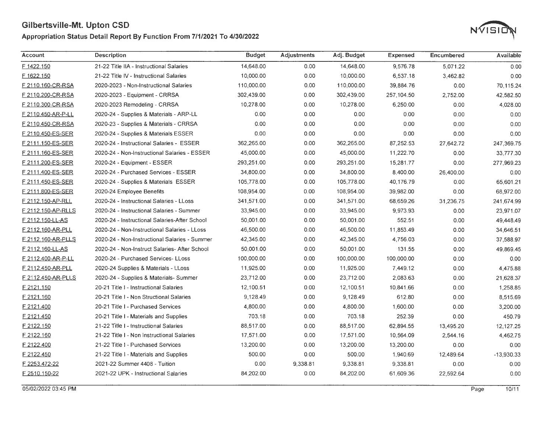#### **Appropriation Status Detail Report By Function From 7/1/2021 To 4/30/2022**



| Account            | <b>Description</b>                            | <b>Budget</b> | <b>Adjustments</b> | Adj. Budget | Expensed    | Encumbered | Available    |
|--------------------|-----------------------------------------------|---------------|--------------------|-------------|-------------|------------|--------------|
| F 1422.150         | 21-22 Title IIA - Instructional Salaries      | 14,648.00     | 0.00               | 14,648.00   | 9,576.78    | 5,071.22   | 0.00         |
| F 1622.150         | 21-22 Title IV - Instructional Salaries       | 10,000.00     | 0.00               | 10,000.00   | 6,537.18    | 3,462.82   | 0.00         |
| F 2110.160-CR-RSA  | 2020-2023 - Non-Instructional Salaries        | 110,000.00    | 0.00               | 110,000.00  | 39,884.76   | 0.00       | 70,115.24    |
| F 2110.200-CR-RSA  | 2020-2023 - Equipment - CRRSA                 | 302,439.00    | 0.00               | 302,439.00  | 257, 104.50 | 2,752.00   | 42,582.50    |
| F 2110.300-CR-RSA  | 2020-2023 Remodeling - CRRSA                  | 10,278.00     | 0.00               | 10,278.00   | 6,250.00    | 0.00       | 4,028.00     |
| F 2110.450-AR-P-LL | 2020-24 - Supplies & Materials - ARP-LL       | 0.00          | 0.00               | 0.00        | 0.00        | 0.00       | 0.00         |
| F 2110.450-CR-RSA  | 2020-23 - Supplies & Materials - CRRSA        | 0.00          | 0.00               | 0.00        | 0.00        | 0.00       | 0.00         |
| F 2110.450-ES-SER  | 2020-24 - Supplies & Materials ESSER          | 0.00          | 0.00               | 0.00        | 0.00        | 0.00       | 0.00         |
| F 2111.150-ES-SER  | 2020-24 - Instructional Salaries - ESSER      | 362,265.00    | 0.00               | 362,265.00  | 87,252.53   | 27,642.72  | 247,369.75   |
| F 2111.160-ES-SER  | 2020-24 - Non-Instructional Salaries - ESSER  | 45,000.00     | 0.00               | 45,000.00   | 11,222.70   | 0.00       | 33,777.30    |
| F 2111.200-ES-SER  | 2020-24 - Equipment - ESSER                   | 293,251.00    | 0.00               | 293,251.00  | 15,281.77   | 0.00       | 277,969.23   |
| F 2111.400-ES-SER  | 2020-24 - Purchased Services - ESSER          | 34,800.00     | 0.00               | 34,800.00   | 8,400.00    | 26,400.00  | 0.00         |
| F 2111.450-ES-SER  | 2020-24 - Supplies & Materials ESSER          | 105,778.00    | 0.00               | 105,778.00  | 40,176.79   | 0.00       | 65,601.21    |
| F 2111.800-ES-SER  | 2020-24 Employee Benefits                     | 108,954.00    | 0.00               | 108,954.00  | 39,982.00   | 0.00       | 68,972.00    |
| F 2112.150-AP-RLL  | 2020-24 - Instructional Salaries - LLoss      | 341,571.00    | 0.00               | 341,571.00  | 68,659.26   | 31,236.75  | 241,674.99   |
| F 2112.150-AP-RLLS | 2020-24 - Instructional Salaries - Summer     | 33,945.00     | 0.00               | 33,945.00   | 9,973.93    | 0.00       | 23,971.07    |
| F 2112.150-LL-AS   | 2020-24 - Instructional Salaries-After School | 50,001.00     | 0.00               | 50,001.00   | 552.51      | 0.00       | 49,448.49    |
| F 2112.160-AR-PLL  | 2020-24 - Non-Instructional Salaries - LLoss  | 46,500.00     | 0.00               | 46,500.00   | 11,853.49   | 0.00       | 34,646.51    |
| F 2112.160-AR-PLLS | 2020-24 - Non-Instructional Salaries - Summer | 42,345.00     | 0.00               | 42,345.00   | 4,756.03    | 0.00       | 37,588.97    |
| F 2112.160-LL-AS   | 2020-24 - Non-Instruct Salaries- After School | 50,001.00     | 0.00               | 50,001.00   | 131.55      | 0.00       | 49,869.45    |
| F 2112.400-AR-P-LL | 2020-24 - Purchased Services- LLoss           | 100,000.00    | 0.00               | 100,000.00  | 100,000.00  | 0.00       | 0.00         |
| F 2112.450-AR-PLL  | 2020-24 Supplies & Materials - LLoss          | 11,925.00     | 0.00               | 11,925.00   | 7,449.12    | 0.00       | 4,475.88     |
| F 2112.450-AR-PLLS | 2020-24 - Supplies & Materials - Summer       | 23,712.00     | 0.00               | 23,712.00   | 2,083.63    | 0.00       | 21,628.37    |
| F 2121.150         | 20-21 Title 1 - Instructional Salaries        | 12,100.51     | 0.00               | 12,100.51   | 10,841.66   | 0.00       | 1,258.85     |
| F 2121.160         | 20-21 Title I - Non Structional Salaries      | 9,128.49      | 0.00               | 9,128.49    | 612.80      | 0.00       | 8,515.69     |
| F 2121.400         | 20-21 Title I - Purchased Services            | 4,800.00      | 0.00               | 4,800.00    | 1,600.00    | 0.00       | 3,200.00     |
| F 2121.450         | 20-21 Title I - Materials and Supplies        | 703.18        | 0.00               | 703.18      | 252.39      | 0.00       | 450.79       |
| F 2122.150         | 21-22 Title I - Instructional Salaries        | 88,517.00     | 0.00               | 88,517.00   | 62,894.55   | 13,495.20  | 12,127.25    |
| F 2122.160         | 21-22 Title I - Non Instructional Salaries    | 17.571.00     | 0.00               | 17,571.00   | 10,564.09   | 2,544.16   | 4.462.75     |
| F 2122.400         | 21-22 Title I - Purchased Services            | 13,200.00     | 0.00               | 13,200.00   | 13,200.00   | 0.00       | 0.00         |
| F 2122.450         | 21-22 Title I - Materials and Supplies        | 500.00        | 0.00               | 500.00      | 1,940.69    | 12,489.64  | $-13,930.33$ |
| F 2253.472-22      | 2021-22 Summer 4408 - Tuition                 | 0.00          | 9,338.81           | 9,338.81    | 9,338.81    | 0.00       | 0.00         |
| F 2510.150-22      | 2021-22 UPK - Instructional Salaries          | 84,202.00     | 0.00               | 84,202.00   | 61,609.36   | 22,592.64  | 0.00         |

*0510212022* 03:45 PM Page 10/11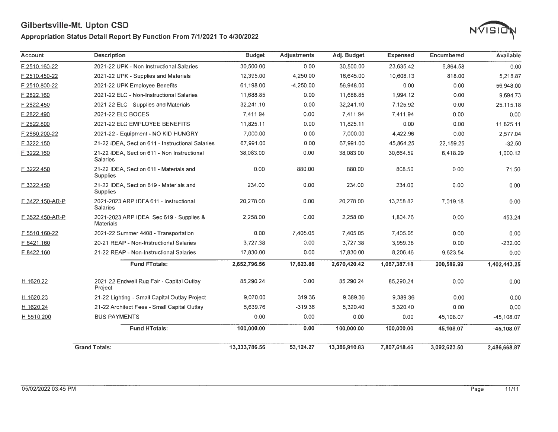### Appropriation Status Detail Report By Function From 7/1/2021 To 4/30/2022



| Account              | <b>Description</b>                                             | <b>Budget</b> | <b>Adjustments</b> | Adj. Budget   | <b>Expensed</b> | Encumbered   | <b>Available</b> |
|----------------------|----------------------------------------------------------------|---------------|--------------------|---------------|-----------------|--------------|------------------|
| F 2510.160-22        | 2021-22 UPK - Non Instructional Salaries                       | 30,500.00     | 0.00               | 30.500.00     | 23.635.42       | 6.864.58     | 0.00             |
| F 2510.450-22        | 2021-22 UPK - Supplies and Materials                           | 12,395.00     | 4.250.00           | 16,645.00     | 10,608.13       | 818.00       | 5,218.87         |
| F 2510.800-22        | 2021-22 UPK Employee Benefits                                  | 61.198.00     | $-4,250.00$        | 56,948.00     | 0.00            | 0.00         | 56,948.00        |
| F 2822.160           | 2021-22 ELC - Non-Instructional Salaries                       | 11,688.85     | 0.00               | 11,688.85     | 1,994.12        | 0.00         | 9,694.73         |
| F 2822.450           | 2021-22 ELC - Supplies and Materials                           | 32,241.10     | 0.00               | 32,241.10     | 7.125.92        | 0.00         | 25.115.18        |
| F 2822.490           | 2021-22 ELC BOCES                                              | 7.411.94      | 0.00               | 7,411.94      | 7,411.94        | 0.00         | 0.00             |
| F 2822.800           | 2021-22 ELC EMPLOYEE BENEFITS                                  | 11,825.11     | 0.00               | 11,825.11     | 0.00            | 0.00         | 11,825.11        |
| F 2860.200-22        | 2021-22 - Equipment - NO KID HUNGRY                            | 7,000.00      | 0.00               | 7.000.00      | 4.422.96        | 0.00         | 2,577.04         |
| F 3222.150           | 21-22 IDEA, Section 611 - Instructional Salaries               | 67,991.00     | 0.00               | 67,991.00     | 45,864.25       | 22,159.25    | $-32.50$         |
| F 3222.160           | 21-22 IDEA, Section 611 - Non Instructional<br><b>Salaries</b> | 38.083.00     | 0.00               | 38,083.00     | 30,664.59       | 6.418.29     | 1,000.12         |
| F 3222.450           | 21-22 IDEA, Section 611 - Materials and<br>Supplies            | 0.00          | 880.00             | 880.00        | 808.50          | 0.00         | 71.50            |
| F 3322.450           | 21-22 IDEA, Section 619 - Materials and<br>Supplies            | 234.00        | 0.00               | 234.00        | 234.00          | 0.00         | 0.00             |
| F 3422.150-AR-P      | 2021-2023 ARP IDEA 611 - Instructional<br><b>Salaries</b>      | 20,278.00     | 0.00               | 20.278.00     | 13.258.82       | 7.019.18     | 0.00             |
| F 3522.450-AR-P      | 2021-2023 ARP IDEA, Sec 619 - Supplies &<br>Materials          | 2,258.00      | 0.00               | 2,258.00      | 1,804.76        | 0.00         | 453.24           |
| F 5510.160-22        | 2021-22 Summer 4408 - Transportation                           | 0.00          | 7,405.05           | 7,405.05      | 7,405.05        | 0.00         | 0.00             |
| F 8421.160           | 20-21 REAP - Non-Instructional Salaries                        | 3.727.38      | 0.00               | 3.727.38      | 3,959.38        | 0.00         | $-232.00$        |
| F 8422.160           | 21-22 REAP - Non-Instructional Salaries                        | 17,830.00     | 0.00               | 17,830.00     | 8,206.46        | 9,623.54     | 0.00             |
|                      | <b>Fund FTotals:</b>                                           | 2,652,796.56  | 17,623.86          | 2,670,420.42  | 1,067,387.18    | 200,589.99   | 1,402,443.25     |
| H 1620.22            | 2021-22 Endwell Rug Fair - Capital Outlay<br>Project           | 85,290.24     | 0.00               | 85.290.24     | 85.290.24       | 0.00         | 0.00             |
| H 1620.23            | 21-22 Lighting - Small Capital Outlay Project                  | 9,070.00      | 319.36             | 9.389.36      | 9.389.36        | 0.00         | 0.00             |
| H 1620.24            | 21-22 Architect Fees - Small Capital Outlay                    | 5,639.76      | $-319.36$          | 5,320.40      | 5,320.40        | 0.00         | 0.00             |
| H 5510.200           | <b>BUS PAYMENTS</b>                                            | 0.00          | 0.00               | 0.00          | 0.00            | 45,108.07    | $-45,108.07$     |
|                      | <b>Fund HTotals:</b>                                           | 100,000.00    | 0.00               | 100,000.00    | 100,000.00      | 45,108.07    | -45,108.07       |
| <b>Grand Totals:</b> |                                                                | 13,333,786.56 | 53,124.27          | 13,386,910.83 | 7,807,618.46    | 3,092,623.50 | 2,486,668.87     |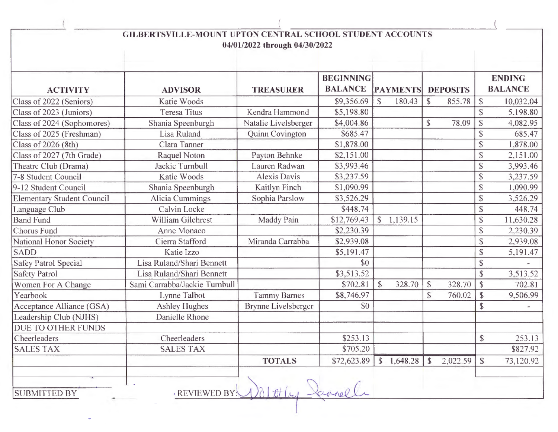| GILBERTSVILLE-MOUNT UPTON CENTRAL SCHOOL STUDENT ACCOUNTS<br>04/01/2022 through 04/30/2022 |                               |                            |                                    |                        |                                     |                                        |  |  |  |  |  |
|--------------------------------------------------------------------------------------------|-------------------------------|----------------------------|------------------------------------|------------------------|-------------------------------------|----------------------------------------|--|--|--|--|--|
| <b>ACTIVITY</b>                                                                            | <b>ADVISOR</b>                | <b>TREASURER</b>           | <b>BEGINNING</b><br><b>BALANCE</b> | <b>PAYMENTS</b>        | <b>DEPOSITS</b>                     | <b>ENDING</b><br><b>BALANCE</b>        |  |  |  |  |  |
| Class of 2022 (Seniors)                                                                    | <b>Katie Woods</b>            |                            | \$9,356.69                         | $\mathbb{S}$<br>180.43 | $\mathbb{S}$<br>855.78              | $\mathbb{S}$<br>10,032.04              |  |  |  |  |  |
| Class of 2023 (Juniors)                                                                    | <b>Teresa Titus</b>           | Kendra Hammond             | \$5,198.80                         |                        |                                     | \$<br>5,198.80                         |  |  |  |  |  |
| Class of 2024 (Sophomores)                                                                 | Shania Speenburgh             | Natalie Livelsberger       | \$4,004.86                         |                        | $\mathsf{\$}$<br>78.09              | \$<br>4,082.95                         |  |  |  |  |  |
| Class of 2025 (Freshman)                                                                   | Lisa Ruland                   | Quinn Covington            | \$685.47                           |                        |                                     | \$<br>685.47                           |  |  |  |  |  |
| Class of 2026 (8th)                                                                        | Clara Tanner                  |                            | \$1,878.00                         |                        |                                     | $\boldsymbol{\$}$<br>1,878.00          |  |  |  |  |  |
| Class of 2027 (7th Grade)                                                                  | Raquel Noton                  | Payton Behnke              | \$2,151.00                         |                        |                                     | \$<br>2,151.00                         |  |  |  |  |  |
| Theatre Club (Drama)                                                                       | Jackie Turnbull               | Lauren Radwan              | \$3,993.46                         |                        |                                     | $\mathbb{S}$<br>3,993.46               |  |  |  |  |  |
| 7-8 Student Council                                                                        | Katie Woods                   | <b>Alexis Davis</b>        | \$3,237.59                         |                        |                                     | $\mathbb{S}$<br>3,237.59               |  |  |  |  |  |
| 9-12 Student Council                                                                       | Shania Speenburgh             | Kaitlyn Finch              | \$1,090.99                         |                        |                                     | $\mathbb{S}$<br>1,090.99               |  |  |  |  |  |
| <b>Elementary Student Council</b>                                                          | Alicia Cummings               | Sophia Parslow             | \$3,526.29                         |                        |                                     | \$<br>3,526.29                         |  |  |  |  |  |
| Language Club                                                                              | Calvin Locke                  |                            | \$448.74                           |                        |                                     | $\mathbb{S}$<br>448.74                 |  |  |  |  |  |
| <b>Band Fund</b>                                                                           | William Gilchrest             | Maddy Pain                 | \$12,769.43                        | \$1,139.15             |                                     | $\boldsymbol{\mathsf{S}}$<br>11,630.28 |  |  |  |  |  |
| Chorus Fund                                                                                | Anne Monaco                   |                            | \$2,230.39                         |                        |                                     | \$<br>2,230.39                         |  |  |  |  |  |
| National Honor Society                                                                     | Cierra Stafford               | Miranda Carrabba           | \$2,939.08                         |                        |                                     | $\mathbb{S}$<br>2,939.08               |  |  |  |  |  |
| <b>SADD</b>                                                                                | Katie Izzo                    |                            | \$5,191.47                         |                        |                                     | $\mathbb{S}$<br>5,191.47               |  |  |  |  |  |
| <b>Safey Patrol Special</b>                                                                | Lisa Ruland/Shari Bennett     |                            | \$0                                |                        |                                     | $\mathbb{S}$                           |  |  |  |  |  |
| <b>Safety Patrol</b>                                                                       | Lisa Ruland/Shari Bennett     |                            | \$3,513.52                         |                        |                                     | \$<br>3,513.52                         |  |  |  |  |  |
| Women For A Change                                                                         | Sami Carrabba/Jackie Turnbull |                            | \$702.81                           | $\mathbb{S}$<br>328.70 | $\boldsymbol{\mathsf{S}}$<br>328.70 | $\mathbb{S}$<br>702.81                 |  |  |  |  |  |
| Yearbook                                                                                   | Lynne Talbot                  | <b>Tammy Barnes</b>        | \$8,746.97                         |                        | \$<br>760.02                        | $\mathcal{S}$<br>9,506.99              |  |  |  |  |  |
| Acceptance Alliance (GSA)                                                                  | <b>Ashley Hughes</b>          | <b>Brynne Livelsberger</b> | \$0                                |                        |                                     | $\mathbb{S}$                           |  |  |  |  |  |
| Leadership Club (NJHS)                                                                     | Danielle Rhone                |                            |                                    |                        |                                     |                                        |  |  |  |  |  |
| <b>DUE TO OTHER FUNDS</b>                                                                  |                               |                            |                                    |                        |                                     |                                        |  |  |  |  |  |
| Cheerleaders                                                                               | Cheerleaders                  |                            | \$253.13                           |                        |                                     | $\mathbb{S}$<br>253.13                 |  |  |  |  |  |
| <b>SALES TAX</b>                                                                           | <b>SALES TAX</b>              |                            | \$705.20                           |                        |                                     | \$827.92                               |  |  |  |  |  |
|                                                                                            |                               | <b>TOTALS</b>              | \$72,623.89                        | \$1,648.28             | 2,022.59<br>$\mathbb{S}$            | $\mathbb{S}$<br>73,120.92              |  |  |  |  |  |
| <b>SUBMITTED BY</b>                                                                        | <b>REVIEWED BY:</b>           |                            |                                    |                        |                                     |                                        |  |  |  |  |  |

 $\frac{1}{2}$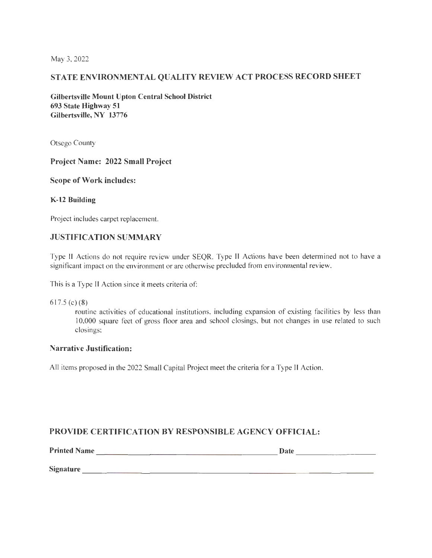May 3, 2022

## STATE ENVIRONMENTAL QUALITY REVIEW ACT PROCESS RECORD SHEET

Gilbertsville Mount Upton Central School District 693 State Highway 51 Gilbertsville, NY 13776

Otsego County

#### Project Name: 2022 Small Project

#### Scope of Work includes:

#### K-12 Building

Project includes carpet replacement.

#### JUSTIFICATION SUMMARY

Type II Actions do not require review under SEQR. Type II Actions have been detennined not to have a significant impact on the environment or are otherwise precluded from environmental review.

This is a Type II Action since it meets criteria of:

617.5 (c)(8)

routine activities of educational institutions, including expansion of existing facilities by less than 10,000 square feet of gross floor area and school closings, but not changes in use related to such closings;

#### Narrative Justification:

All items proposed in the 2022 Small Capital Project meet the criteria for a Type II Action.

#### PROVIDE CERTIFICATION BY RESPONSIBLE AGENCY OFFICIAL: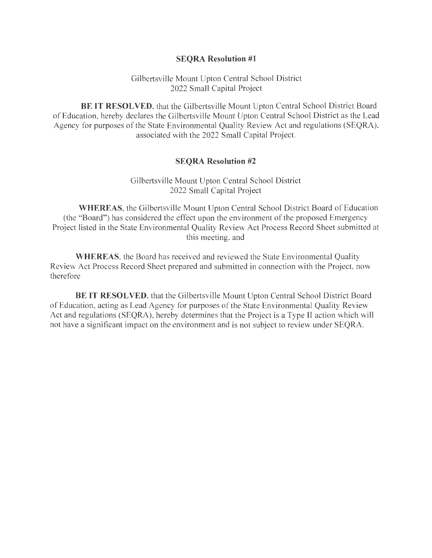#### **SEQRA Resolution #1**

Gilbertsville Mount Upton Central School District 2022 Small Capital Project

**BE IT RESOLVED**, that the Gilbertsville Mount Upton Central School District Board of Education, hereby declares the Gilbertsville Mount Upton Central School District as the Lead Agency for purposes of the State Environmental Quality Review Act and regulations (SEQRA), associated with the 2022 Small Capital Project.

#### **SEQRA Resolution #2**

Gilbertsville Mount Upton Central School District 2022 Small Capital Project

**WHEREAS,** the Gilbertsville Mount Upton Central School District Board of Education (the "Board") has considered the effect upon the environment of the proposed Emergency Project listed in the State Environmental Quality Review Act Process Record Sheet submitted at this meeting, and

**WHEREAS,** the Board has received and reviewed the State Environmental Quality Review Act Process Record Sheet prepared and submitted in connection with the Project, now therefore

**BE IT RESOLVED,** that the Gilbertsville Mount Upton Central School District Board of Education, acting as Lead Agency for purposes of the State Environmental Quality Review Act and regulations (SEQRA), hereby determines that the Project is a Type II action which will not have a significant impact on the environment and is not subject to review under SEQRA.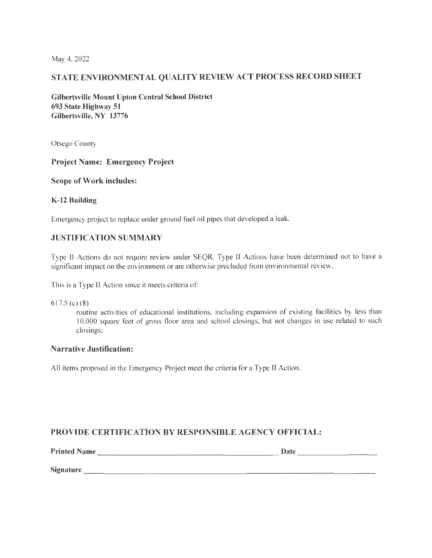May 4, 2022

## **STATE ENVIRONMENTAL QUALITY REVIEW ACT PROCESS RECORD SHEET**

**Gilbertsville Mount Upton Central School District 693 State Highway 51 Gilbertsville, NY 13776** 

Otsego County

#### **Project Name: Emergency Project**

#### **Scope of Work includes:**

#### **K-12 Building**

Emergency project to replace under ground fuel oil pipes that developed a leak.

#### **JUSTIFICATION SUMMARY**

Type II Actions do not require review under SEQR. Type II Actions have been determined not to have a significant impact on the environment or are otherwise precluded from environmental review.

This is a Type II Action since it meets criteria of:

617.5 (c)(8)

routine activities of educational institutions, including expansion of existing facilities by less than 10,000 square feet of gross floor area and school closings, but not changes in use related to such closings;

#### **Narrative Justification:**

All items proposed in the Emergency Project meet the criteria for a Type II Action.

## **PROVIDE CERTIFICATION BY RESPONSIBLE AGENCY OFFICIAL:**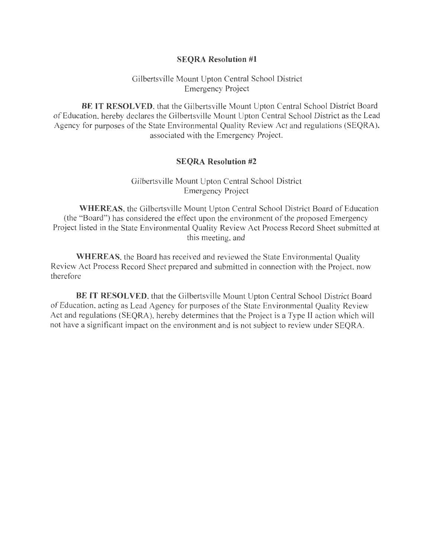#### **SEQRA Resolution #1**

#### Gilbertsville Mount Upton Central School District Emergency Project

**BE IT RESOLVED,** that the Gilbertsville Mount Upton Central School District Board of Education, hereby declares the Gilbertsville Mount Upton Central School District as the Lead Agency for purposes of the State Environmental Quality Review Act and regulations (SEQRA), associated with the Emergency Project.

#### **SEQRA Resolution #2**

Gilbertsville Mount Upton Central School District Emergency Project

**WHEREAS, the Gilbertsville Mount Upton Central School District Board of Education** (the "Board") has considered the effect upon the environment of the proposed Emergency Project listed in the State Environmental Quality Review Act Process Record Sheet submitted at this meeting, and

**WHEREAS,** the Board has received and reviewed the State Environmental Quality Review Act Process Record Sheet prepared and submitted in connection with the Project, now therefore

**BE IT RESOLVED,** that the Gilbertsville Mount Upton Central School District Board of Education, acting as Lead Agency for purposes of the State Environmental Quality Review Act and regulations (SEQRA), hereby determines that the Project is a Type II action which will not have a significant impact on the environment and is not subject to review under SEQRA.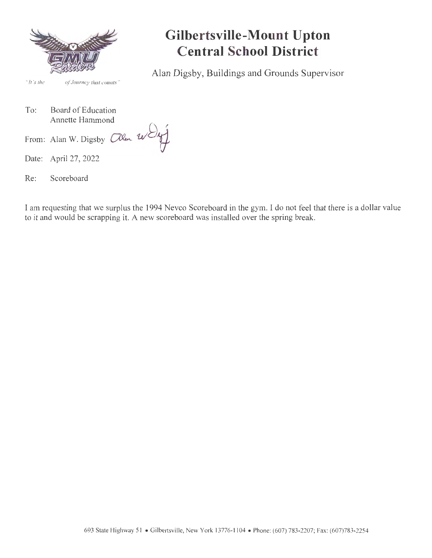

*" fl 's the of Journey rhal counts"* 

## **Gilbertsville-Mount Upton Central School District**

Alan Digsby, Buildings and Grounds Supervisor

To: Board of Education Annette Hammond

- Date: April 27, 2022
- Re: Scoreboard

From: Alan W. Digsby  $\Box$ len

I am requesting that we surplus the 1994 Nevco Scoreboard in the gym. I do not feel that there is a dollar value to it and would be scrapping it. A new scoreboard was installed over the spring break.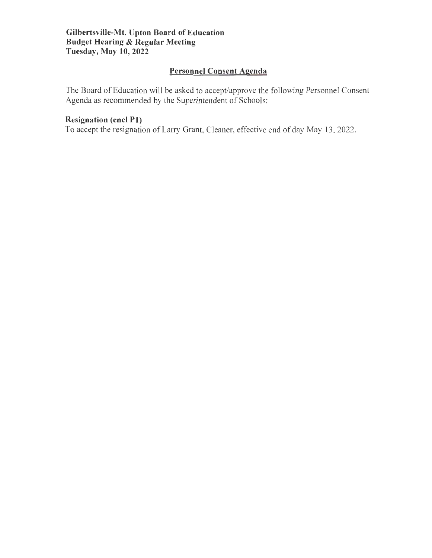## **Personnel Consent Agenda**

The Board of Education will be asked to accept/approve the following Personnel Consent Agenda as recommended by the Superintendent of Schools:

## **Resignation (encl Pl)**

To accept the resignation of Larry Grant, Cleaner, effective end of day May 13, 2022.